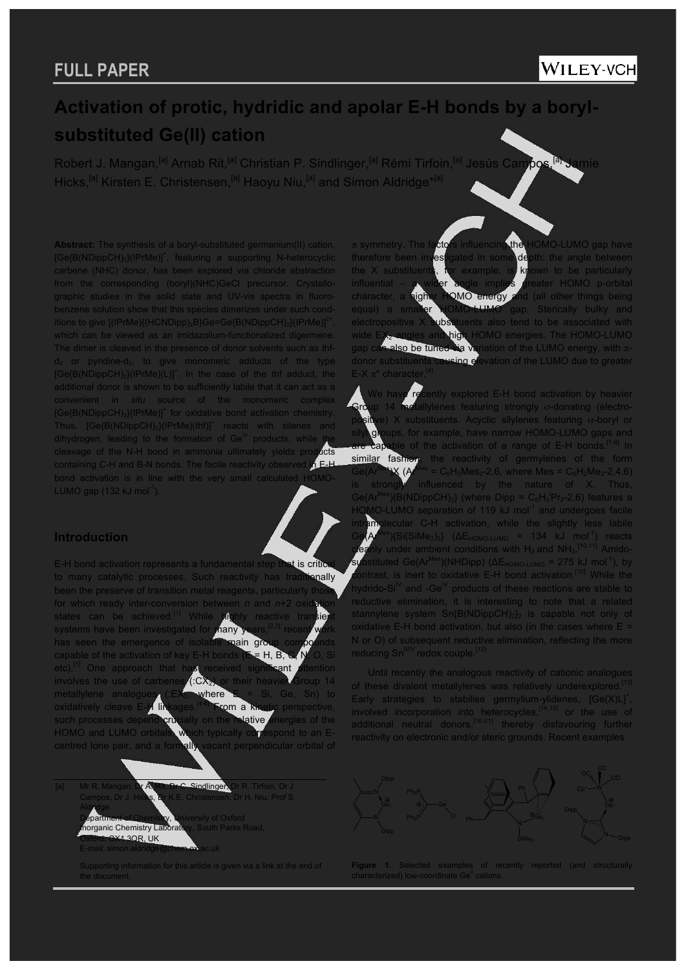# **Activation of protic, hydridic and apolar E-H bonds by a borylsubstituted Ge(II) cation**

Robert J. Mangan,<sup>[a]</sup> Arnab Rit,<sup>[a]</sup> Christian P. Sindlinger,<sup>[a]</sup> Rémi Tirfoin,<sup>[a]</sup> Jesús Campos,<sup>[a]</sup> Jamie Hicks,<sup>[a]</sup> Kirsten E. Christensen,<sup>[a]</sup> Haoyu Niu,<sup>[a]</sup> and Simon Aldridge\*<sup>[a]</sup>

**Abstract:** The synthesis of a boryl-substituted germanium(II) cation, [Ge{B(NDippCH)<sub>2</sub>}(IPrMe)]<sup>+</sup>, featuring a supporting N-heterocyclic carbene (NHC) donor, has been explored via chloride abstraction the corresponding (boryl)(NHC)GeCl precursor. Crystallographic studies in the solid state and UV-vis spectra in fluoronzene solution show that this species dimerizes under such conditions to give  $[(\text{IFMe})\{(HCNDipp)_2B\}Ge=\text{Ge}\{B(NDippCH)_2\}(\text{IFMe})]^2$ which can be viewed as an imidazolium-functionalized digermen The dimer is cleaved in the presence of donor solvents such as thfpyridine-d $_5$ , to give monomeric adducts of the type  $[Ge(B(NDippCH)<sub>2</sub>](PrMe)(L)]<sup>+</sup>$ . In the case of the thf adduct, the additional donor is shown to be sufficiently labile that it can act as a convenient *in situ* source of the monomeric [Ge{B(NDippCH)<sub>2</sub>}(IPrMe)]<sup>+</sup> for oxidative bond activation chemistry. Thus,  $[Ge{B(NDippCH)_2}(IPrMe)(thf)]^+$  reacts with silanes and dihydrogen, leading to the formation of  $\text{Ge}^{\mathbb{N}}$  products, while the cleavage of the N-H bond in ammonia ultimately yields products<br>containing C-H and B-N bonds. The facile reactivity observed in E-H containing C-H and B-N bonds. The facile reactivity observed bond activation is in line with the very small calculated LUMO gap  $(132 \text{ kJ mol}^{-1})$ .

### **Introduction**

E-H bond activation represents a fundamental step that is critical to many catalytic processes. Such reactivity has traditionally been the preserve of transition metal reagents, particularly the for which ready inter-conversion between *n* and *n*+2 oxid states can be achieved.<sup>[1]</sup> While highly reactive transie<br>systems have been investigated for <mark>nany years,<sup>[2,3]</sup> recent wo</mark> systems have been investigated for has seen the emergence of isolable main gro capable of the activation of key E-H bonds  $(E = H, B, C, N, O, S)$ etc).<sup>[1]</sup> One approach that has received significant attention involves the use of carbenes (:CX2) or their heavier Group 14 metallylene analogues (: $EX_2$ , where  $E = Si$ , Ge, Sn) to oxidatively cleave E- $\frac{1}{2}$  linkages.<sup>[44]</sup> From a kinetic perspective. oxidatively cleave  $E-\mathbf{H}$  linkages.<sup>[4-6]</sup> From a kinetic perspective, such processes depend crucially on the relative energies of the HOMO and LUMO orbitals, which typically correspond to an Ecentred lone pair, and a formally vacant perpendicular orbital of



Supporting information for this article is given via a link at the end of the document.

π symmetry. The fa<mark>cto</mark>rs influencing the HOMO-LUMO gap have therefore been investigated in some depth: the angle between the X substituents, for example, is known to be particularly influential  $-$  a wider angle implies greater HOMO p-orbital eater HOMO p-orbital character, a higher HOMO energy and (all other things being equal) a smaller HOMO-LUMO gap. Sterically bulky and<br>electropositive X substituents also tend to be associated with uents also tend to be associated with<br>In HOMO energies. The HOMO-LUMO wide EX<sub>2</sub> angles and high HOMO energies. The HOMO-LUMO gap can also be tuned via variation of the LUMO energy, with πdonor substituents causing elevation of the LUMO due to greater  $E-X$ π<sup>\*</sup> charact

ently explored E-H bond activation by heavier Group 14 metallylenes featuring strongly σ-donating (electro**positive**) X substituents. Acyclic silylenes featuring  $\alpha$ -boryl or groups, for example, have narrow HOMO-LUMO gaps are capable of the activation of a range of E-H bonds.<sup>[7-9]</sup> In similar fashion, the reactivity of germylenes of the form  $Ge(Ar^{Me})$ X (Ar<sup>Mes</sup> = C<sub>6</sub>H<sub>3</sub>Mes<sub>2</sub>-2,6, where Mes = C<sub>6</sub>H<sub>2</sub>Me<sub>3</sub>-2,4,6) is strongly influenced by the nature of X. Thus, Ge(Ar<sup>Mes</sup>){B(NDippCH)<sub>2</sub>} (where Dipp =  $C_6H_3'Pr_2-2,6$ ) features a HOMO-LUMO separation of 119 kJ mol<sup>-1</sup> and undergoes facile intramolecular C-H activation, while the slightly less labile  $Ge(A^{\text{Mes}})(Si(SiMe<sub>3</sub>)<sub>3</sub>)$  ( $\Delta E_{HOMO-LUMO}$  = 134 kJ mol<sup>-1</sup>) reacts **cleanly under ambient conditions with H<sub>2</sub> and NH<sub>3</sub>.<sup>[10,11]</sup> Amido**substituted Ge(Ar<sup>Mes</sup>)(NHDipp) (ΔE<sub>HOMO-LUMO</sub> = 275 kJ mol<sup>-1</sup>), by contrast, is inert to oxidative E-H bond activation.<sup>[10]</sup> While the drido-Si<sup>IV</sup> and -Ge<sup>IV</sup> products of these reactions are stable to reductive elimination, it is interesting to note that a related stannylene system  $Sn(B(NDippCH)<sub>2</sub>)<sub>2</sub>$  is capable not only of oxidative E-H bond activation, but also (in the cases where  $E =$ or O) of subsequent reductive elimination, reflecting the more  $reducina$  Sn<sup>II/IV</sup> redox couple.<sup>[2]</sup>

Until recently the analogous reactivity of cationic analogues of these divalent metallylenes was relatively underexplored. Early strategies to stabilise germylium-ylidenes,  $[Ge(X) L]^+$ , involved incorporation into heterocycles, $[14,15]$  or the use of additional neutral donors,<sup>[16-21]</sup> thereby disfavouring further reactivity on electronic and/or steric grounds. Recent examples



**Figure 1.** Selected examples of recently reported (and structurally characterized) low-coordinate Ge<sup>ll</sup> cations.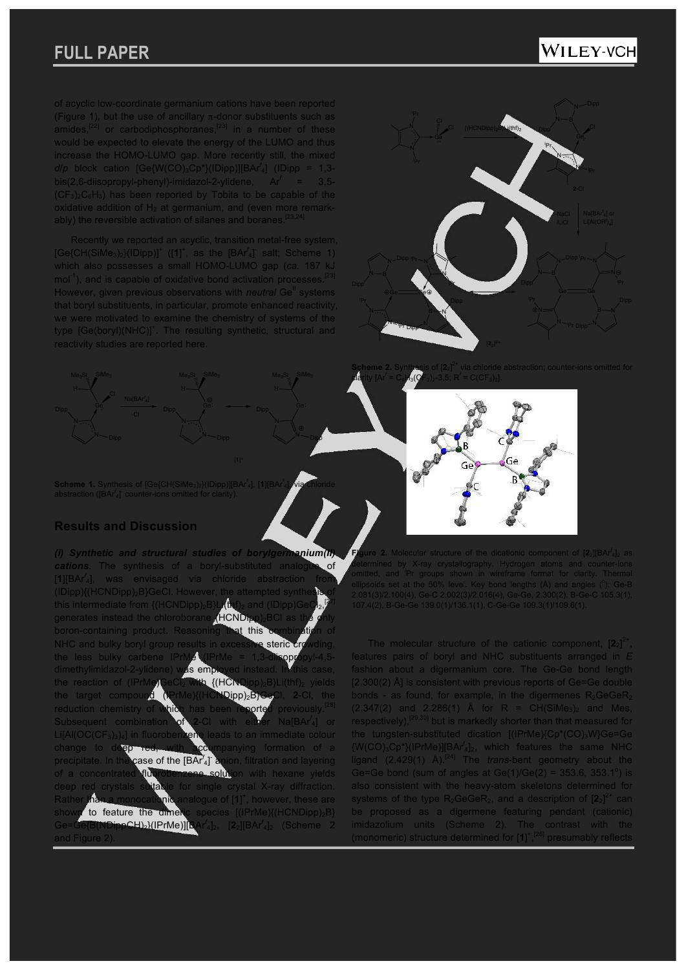## WILEY-VCH

of acyclic low-coordinate germanium cations have been reported (Figure 1), but the use of ancillary  $\pi$ -donor substituents such as amides, $[22]$  or carbodiphosphoranes, $[23]$  in a number of these would be expected to elevate the energy of the LUMO and thus increase the HOMO-LUMO gap. More recently still, the mixed *d*/*p* block cation [Ge{W(CO)3Cp\*}(IDipp)][BAr*<sup>f</sup>* <sup>4</sup>] (IDipp = 1,3 bis(2,6-diisopropyl-phenyl)-imidazol-2-ylidene, Ar*<sup>f</sup>* = 3,5-  $(CF_3)_2C_6H_3$ ) has been reported by Tobita to be capable of the oxidative addition of  $H_2$  at germanium, and (even more remarkably) the reversible activation of silanes and boranes.

Recently we reported an acyclic, transition metal-free system,  $[Ge{CH(SiMe<sub>3</sub>)<sub>2</sub>}(IDipp)]<sup>+</sup>$  ([1]<sup>+</sup>, as the  $[BAr<sup>f</sup>_{4}]<sup>-</sup>$  salt; Scheme 1) which also possesses a small HOMO-LUMO gap (*ca.* 187 kJ  $mol<sup>-1</sup>$ ), and is capable of oxidative bond activation processes.<sup>[23]</sup> However, given previous observations with *neutral* Ge<sup>ll</sup> systems that boryl substituents, in particular, promote enhanced reactivity, we were motivated to examine the chemistry of systems of the type [Ge(boryl)(NHC)]<sup>+</sup>. The resulting synthetic, structural and reactivity studies are reported here.

 $\mathsf{SiMe}_3$ 



**Scheme 2.** Synthesis of [**2**2] clarity [Ar*<sup>f</sup>*  $= C_6$ <sub>3</sub>( $QF_3$ <sub>2</sub>-3,5; R*i* 

Ge

Scheme 1. Synthesis of [Ge{CH(SiMe<sub>3</sub>)<sub>2</sub>}(IDipp)][BAr<sup>f</sup><sub>4</sub>], [1][BAr<sup>i</sup> abstraction ([BAr<sup>f</sup><sub>4</sub>]<sup>-</sup> counter-ions omitted for clarity).

4], via chloride

Dipp

 $\mathsf{SiMe}_3$ 

### **Results and Discussion**

*(i) Synthetic and structural studies of borylgermanium(II) cations*. The synthesis of a boryl-substituted analogue of [**1**][BAr*<sup>f</sup>* <sup>4</sup>], was envisaged via chloride abstraction from (IDipp){(HCNDipp)<sub>2</sub>B}GeCl. However, the attempted synthe this intermediate from  $\{$ (HCNDipp)<sub>2</sub>B}Li $\bigoplus$ <sub>2</sub> and  $($ IDipp)Ge [27] generates instead the chloroborane (HCNDipp)<sub>2</sub>BCl as boron-containing product. Reasoning that this combined NHC and bulky boryl group results in excessive steric cro the less bulky carbene  $IPrMe$  (IPrMe = 1,3-disopropy dimethylimidazol-2-ylidene) was employed instead. In this case, the reaction of (IPrMe)GeCl2 with {(HCNDipp)2B}Li(thf)2 yields the target compound (IPrMe){(HCNDipp)2B}GeCl, **2**-Cl, the reduction chemistry of which has been reported previously.<sup>[28]</sup> Subsequent combination -Cl with either NalBAr<sup>f</sup>4l or  $L[Al(OC(CF<sub>3</sub>)<sub>3</sub>)<sub>4</sub>]$  in fluorobenzene leads to an immediate colour change to deep red, with accompanying formation of a mpanying formation of a precipitate. In the case of the [BAr<sup>f</sup><sub>4</sub>] anion, filtration and layering of a concentrated fluorobenzene solution with hexane yields deep red crystals suitable for single crystal X-ray diffraction. Rather than a monocationic analogue of [1]<sup>+</sup>, however, these are shown to feature the dimeric species  $[(\text{IFrMe})(\text{HCNDipp})_2B]$ Ge=Ge{B(NDippCH)2}(IPrMe)][BAr*<sup>f</sup>* 4]2, [**2**2][BAr*<sup>f</sup>* <sup>4</sup>]<sup>2</sup> (Scheme 2 and Figure

**Figure 2.** Molecular structure of the dicationic component of [2<sub>2</sub>][BAr<sup>f</sup><sub>4</sub>]<sub>2</sub> as determined by X-ray crystallography. Hydrogen atoms and counter-ions<br>omitted, and 'Pr groups shown in wireframe format for clarity. Thermal<br>ellipsoids set at the 50% level. Key bond lengths (Å) and angles (°): Ge-B 2.081(3)/2.100(4), Ge-C 2.002(3)/2.016(4), Ge-Ge, 2.300(2), B-Ge-C 105.3(1), елрон<br>2.081(3)/2.100(4), Ge-C 2.002(3)/2.016(4), Ge-Ge, 2.300(2), B-G<br>107.4(2), B-Ge-Ge 139.0(1)/136.1(1), C-Ge-Ge 109.3(1)/109.6(1).

The molecular structure of the cationic component,  $[2_2]^{2+}$ features pairs of boryl and NHC substituents arranged in *E* fashion about a digermanium core. The Ge-Ge bond length [2.300(2) Å] is consistent with previous reports of Ge=Ge double bonds - as found, for example, in the digermenes  $R_2GeGeR_2$  $(2.347(2)$  and  $2.286(1)$  Å for R = CH(SiMe<sub>3</sub>)<sub>2</sub> and Mes, respectively),<sup>[29,30]</sup> but is markedly shorter than that measured for the tungsten-substituted dication [(IPrMe){Cp\*(CO)<sub>3</sub>W}Ge=Ge {W(CO)3Cp\*}(IPrMe)][BAr*<sup>f</sup>* <sup>4</sup>]2, which features the same NHC ligand (2.429(1) Å).[24] The *trans*-bent geometry about the Ge=Ge bond (sum of angles at  $Ge(1)/Ge(2) = 353.6, 353.1^{\circ}$ ) is also consistent with the heavy-atom skeletons determined for systems of the type  $R_2$ GeGe $R_2$ , and a description of  $[2_2]^{2+}$  can be proposed as a digermene featuring pendant (cationic) imidazolium units (Scheme 2). The contrast with the (monomeric) structure determined for [**1**] + , [26] presumably reflects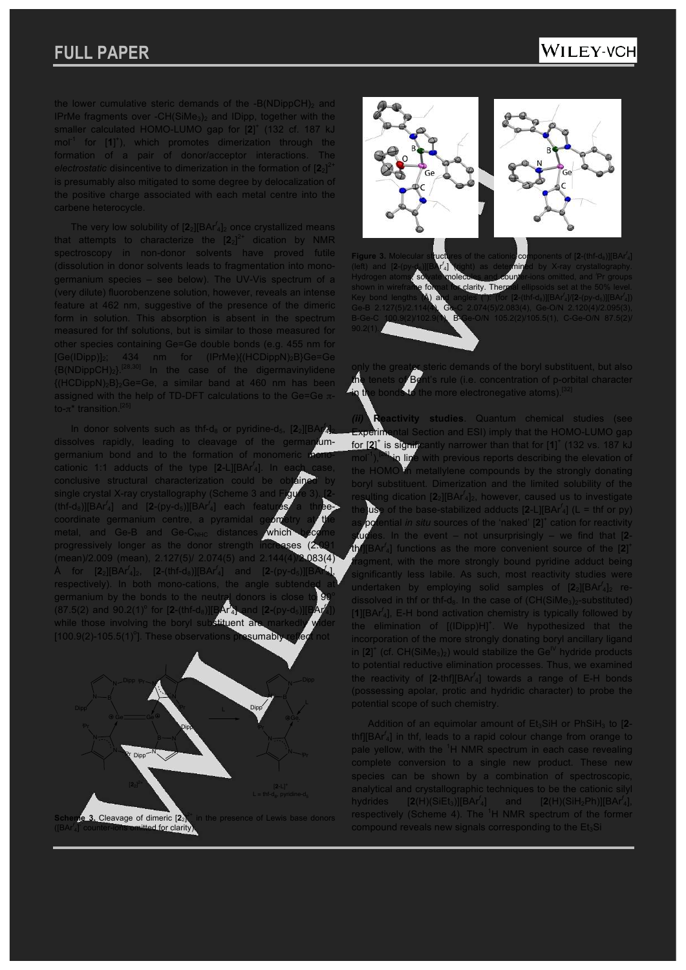the lower cumulative steric demands of the  $-B(NDippCH)<sub>2</sub>$  and IPrMe fragments over -CH(SiMe<sub>3</sub>)<sub>2</sub> and IDipp, together with the smaller calculated HOMO-LUMO gap for [2]<sup>+</sup> (132 cf. 187 kJ mol<sup>-1</sup> for [1]<sup>+</sup>), which promotes dimerization through the formation of a pair of donor/acceptor interactions. *electrostatic* disincentive to dimerization in the formation of [**2**2] 2+ is presumably also mitigated to some degree by delocalization of the positive charge associated with each metal centre into the carbene heterocycle.

The very low solubility of  $[2_2][BA<sup>r'_{4}]_2</sup>$  once crystallized means that attempts to characterize the  $\left[2_{2}\right]^{2+}$  dication by NMR spectroscopy in non-donor solvents have proved futile (dissolution in donor solvents leads to fragmentation into monogermanium species – see below). The UV-Vis spectrum of a (very dilute) fluorobenzene solution, however, reveals an intense feature at 462 nm, suggestive of the presence of the dimeric form in solution. This absorption is absent in the spectrum measured for thf solutions, but is similar to those measured for other species containing Ge=Ge double bonds (e.g. 455 nm for [Ge(IDipp)]2; 434 nm for (IPrMe){(HCDippN)2B}Ge=Ge  ${B(NDippCH)_2}$ <sup>[28,30]</sup> In the case of the digermavinylidene  ${(HCDippN)_2B}_2Ge=Ge$ , a similar band at 460 nm has been assigned with the help of TD-DFT calculations to the Ge=Ge πto- $π$ <sup>\*</sup> transition.<sup>[2</sup>

In donor solvents such as thf-d<sub>8</sub> or pyridine-d<sub>5</sub>, [2<sub>2</sub>][BA 4]2 dissolves rapidly, leading to cleavage of the germaniumgermanium bond and to the formation of monomeric cationic 1:1 adducts of the type [**2**-L][BAr*<sup>f</sup>* <sup>4</sup>]. In each case, conclusive structural characterization could be o single crystal X-ray crystallography (Scheme 3 and (thf-d8)][BAr*<sup>f</sup>* 4] and [**2**-(py-d5)][BAr*<sup>f</sup>* 4] each features a threecoordinate germanium centre, a pyramidal geometry metal, and Ge-B and Ge-C<sub>NBC</sub> distances which metal, and Ge-B and  $Ge-C<sub>NHC</sub>$  distances progressively longer as the donor strength increases (2 (mean)/2.009 (mean), 2.127(5)/ 2.074(5) and 2.144(4)/2.083(4)  $\rm \AA$  for [ $\rm 2_2$ ][BAr<sup>f</sup><sub>4</sub>]<sub>2</sub>, [ $\rm 2$ -(thf-d<sub>8</sub>)][BAr<sup>f</sup><sub>4</sub>] and [ $\rm 2$ -(py-d<sub>5</sub>)][BAr <sup>4</sup>], respectively). In both mono-cations, the angle subten germanium by the bonds to the neutral donors is close to  $90$ (87.5(2) and 90.2(1)<sup>°</sup> for [2-(thf-d<sub>8</sub>)][BAr<sup>f</sup> 1d **[2-(py-d**<sub>5</sub>  $^{4}$ ])  $^{-}$ while those involving the boryl substituent an [100.9(2)-105.5(1)°]. These observations presumably reflect not





**Figure 3.** Molecular structures of the cationic components of [2-(thf-d<sub>8</sub>)][BAr<sup>f</sup><sub>4</sub>] (left) and [**2**-(py-d5)][BAr*<sup>f</sup>* 4] (right) as determined by X-ray crystallography. Hydrogen atoms, solvate molecules and counter-ions omitted, and *<sup>i</sup>* clarity. Then Key bond lengths  $(A)$  and angles  $($ ): (for [2-(thf-d<sub>8</sub>)][BAr 4]/[**2**-(py-d5)][BAr*<sup>f</sup>* Ge-B 2.127(5)/2.114(4), Ge-C 2.074(5)/2.083(4), Ge-O/N 2.120(4)/2.095(3), B-Ge-C 100.9(2)/102.9(1), B-Ge-O/N 105.2(2)/105.5(1), C-Ge-O/N 87.5(2)/

only the greater steric demands of the boryl substituent, but also the tenets of Bent's rule (i.e. concentration of p-orbital character in the bonds to the more electronegative atoms).<sup>[32]</sup>

**activity studies**. Quantum chemical studies (see rperimental Section and ESI) imply that the HOMO-LUMO gap for [2]<sup>+</sup> is significantly narrower than that for [1]<sup>+</sup> (132 vs. 187 kJ in line with previous reports describing the elevation of in metallylene compounds by the strongly donating boryl substituent. Dimerization and the limited solubility of the resulting dication [**2**2][BAr*<sup>f</sup>* <sup>4</sup>]2, however, caused us to investigate the use of the base-stabilized adducts  $[2-L][BAr^f]$  (L = thf or py) as potential *in situ* sources of the 'naked' [2]<sup>+</sup> cation for reactivity studies. In the event – not unsurprisingly – we find that [**2** thf][BAr*<sup>f</sup>* <sup>4</sup>] functions as the more convenient source of the [**2**] + fragment, with the more strongly bound pyridine adduct being significantly less labile. As such, most reactivity studies were undertaken by employing solid samples of [2<sub>2</sub>][BAr<sup>f</sup><sub>4</sub>]<sub>2</sub> redissolved in thf or thf-d<sub>8</sub>. In the case of (CH(SiMe<sub>3</sub>)<sub>2</sub>-substituted) [**1**][BAr*<sup>f</sup>* <sup>4</sup>], E-H bond activation chemistry is typically followed by the elimination of  $[(IDipp)H]^+$ . We hypothesized that the incorporation of the more strongly donating boryl ancillary ligand in  $\left[2\right]$ <sup>+</sup> (cf. CH(SiMe<sub>3</sub>)<sub>2</sub>) would stabilize the Ge<sup>IV</sup> hydride products to potential reductive elimination processes. Thus, we examined the reactivity of [**2**-thf][BAr*<sup>f</sup>* <sup>4</sup>] towards a range of E-H bonds (possessing apolar, protic and hydridic character) to probe the potential scope of such chemistry.

Addition of an equimolar amount of Et<sub>3</sub>SiH or PhSiH<sub>3</sub> to [2thf][BAr*<sup>f</sup>* <sup>4</sup>] in thf, leads to a rapid colour change from orange to pale yellow, with the <sup>1</sup>H NMR spectrum in each case revealing complete conversion to a single new product. These new species can be shown by a combination of spectroscopic, analytical and crystallographic techniques to be the cationic silyl hydrides  $[2(H)(SiEt_3)][BAr^f_4]$  and  $[2(H)(SiH_2Ph)][BAr^f_4]$ , respectively (Scheme 4). The  ${}^{1}H$  NMR spectrum of the former compound reveals new signals corresponding to the  $E_{13}$ Si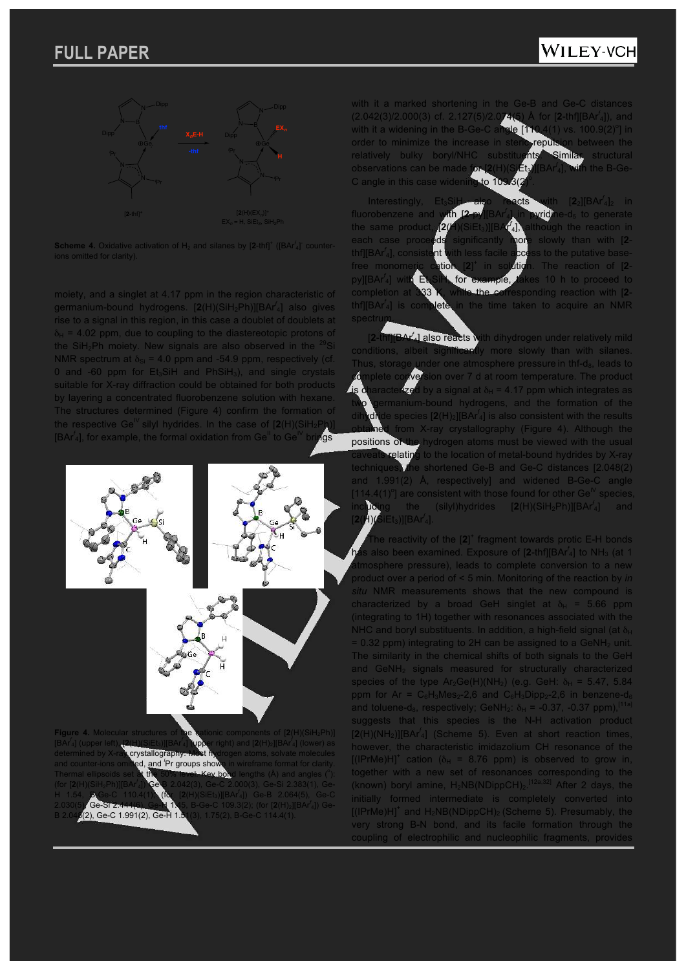## WILEY-VCH



**Scheme 4.** Oxidative activation of  $H_2$  and silanes by  $[2\text{-thf}]^+$  ( $[BA^f_4]^-$  counter-

moiety, and a singlet at 4.17 ppm in the region characteristic of germanium-bound hydrogens. [**2**(H)(SiH2Ph)][BAr*<sup>f</sup>* <sup>4</sup>] also gives rise to a signal in this region, in this case a doublet of doublets at  $\delta_H$  = 4.02 ppm, due to coupling to the diastereotopic protons of the SiH<sub>2</sub>Ph moiety. New signals are also observed in the  $^{29}$ Si NMR spectrum at  $\delta_{\rm Si}$  = 4.0 ppm and -54.9 ppm, respectively (cf. 0 and -60 ppm for  $Et_3SH$  and  $PhSiH_3$ ), and single crystals suitable for X-ray diffraction could be obtained for both products by layering a concentrated fluorobenzene solution with hexane. The structures determined (Figure 4) confirm the formation of the respective  $\text{Ge}^{\mathbb{N}}$  silyl hydrides. In the case of  $[2(\mathsf{H})(\mathsf{SiH}_2\mathsf{Ph})]$ [BAr<sup>f</sup><sub>4</sub>], for example, the formal oxidation from Ge<sup>II</sup> to Ge<sup>IV</sup> brings



with it a marked shortening in the Ge-B and Ge-C distances (2.042(3)/2.000(3) cf. 2.127(5)/2 Å for  $[2\text{-thf}][\text{BAr}^t_4]$ ), and with it a widening in the B-Ge-C angle [110  $4(1)$  vs. 100.9(2)<sup>o</sup>] in order to minimize the increase in steric repulsion between the relatively bulky boryl/NHC substituents. Similar observations can be made for [**2**(H)(SiEt3)][BAr*<sup>f</sup>*  $\mathcal{A}_4$ ], with the B-Ge-C angle in this case widening to 109

Interestingly, Et<sub>3</sub>SiH also reacts with [2<sub>2</sub>][BAr<sup>f</sup><sub>4</sub>]<sub>2</sub> in fluorobenzene and with [2 4] in pyridine-d<sub>5</sub> to generate the same product, **[2***(* Ithough the reaction in each case proceeds significantly more slowly than with [**2** thf][BAr<sup>*f*</sup><sub>4</sub>], consis nt with less facile access to the putative basefree monomeric cation + ition. The reaction of [**2**py][BAr<sup> $f$ </sup><sub>4</sub>] with  $\mathbf{\hat{E}}$ for example, takes 10 h to proceed to completion at 333 K, while the corresponding reaction with [**2** thf<sup>[[BAr<sup>*f*</sup><sub>4</sub>] is co</sup> in the time taken to acquire an NMR spectru

[**2**-thf][BAr*<sup>f</sup>* <sup>4</sup>] also reacts with dihydrogen under relatively mild conditions, albeit significantly more slowly than with silanes. Thus, storage under one atmosphere pressure in thf-d $_8$ , leads to sion over 7 d at room temperature. The product aracterized by a signal at  $\delta_{\rm H}$  = 4.17 ppm which integrates as ermanium-bound hydrogens, and the formation of the dihydride species  $[2(H)_2][BAr^f]$  is also consistent with the results from X-ray crystallography (Figure 4). Although the positions of the hydrogen atoms must be viewed with the usual  $\blacktriangleright$  relating to the location of metal-bound hydrides by X-ray techniques, the shortened Ge-B and Ge-C distances [2.048(2) and 1.991(2) Å, respectively] and widened B-Ge-C angle [114.4(1)<sup>o</sup>] are consistent with those found for other Ge<sup>IV</sup> species, including the (silyl)hydrides [**2**(H)(SiH2Ph)][BAr*<sup>f</sup>* <sup>4</sup>] and [**2**(H)(SiEt3)][BAr*<sup>f</sup>* <sup>4</sup>].

The reactivity of the [2]<sup>+</sup> fragment towards protic E-H bonds has also been examined. Exposure of [2-thf][BAr<sup>f</sup><sub>4</sub>] to NH<sub>3</sub> (at 1 tmosphere pressure), leads to complete conversion to a new product over a period of < 5 min. Monitoring of the reaction by *in situ* NMR measurements shows that the new compound is characterized by a broad GeH singlet at  $\delta_H = 5.66$  ppm (integrating to 1H) together with resonances associated with the NHC and boryl substituents. In addition, a high-field signal (at  $\delta_H$ )  $= 0.32$  ppm) integrating to 2H can be assigned to a GeNH<sub>2</sub> unit. The similarity in the chemical shifts of both signals to the GeH and GeNH<sub>2</sub> signals measured for structurally characterized species of the type  $Ar_2Ge(H)(NH_2)$  (e.g. GeH:  $\delta_H = 5.47, 5.84$ ) ppm for Ar =  $C_6H_3Mes_2-2.6$  and  $C_6H_3Dipp_2-2.6$  in benzene-d<sub>6</sub> and toluene-d<sub>8</sub>, respectively; GeNH<sub>2</sub>:  $\delta_H$  = -0.37, -0.37 ppm),<sup>[11a</sup>] suggests that this species is the N-H activation product [**2**(H)(NH2)][BAr*<sup>f</sup>* <sup>4</sup>] (Scheme 5). Even at short reaction times, however, the characteristic imidazolium CH resonance of the [(IPrMe)H]<sup>+</sup> cation ( $\delta_H$  = 8.76 ppm) is observed to grow in, together with a new set of resonances corresponding to the (known) boryl amine,  $H_2NB(NDippCH)_2$ .<sup>[12a,32]</sup> After 2 days, the initially formed intermediate is completely converted into  $[(IFrMe)H]^+$  and  $H_2NB(NDippCH)_2$  (Scheme 5). Presumably, the very strong B-N bond, and its facile formation through the coupling of electrophilic and nucleophilic fragments, provides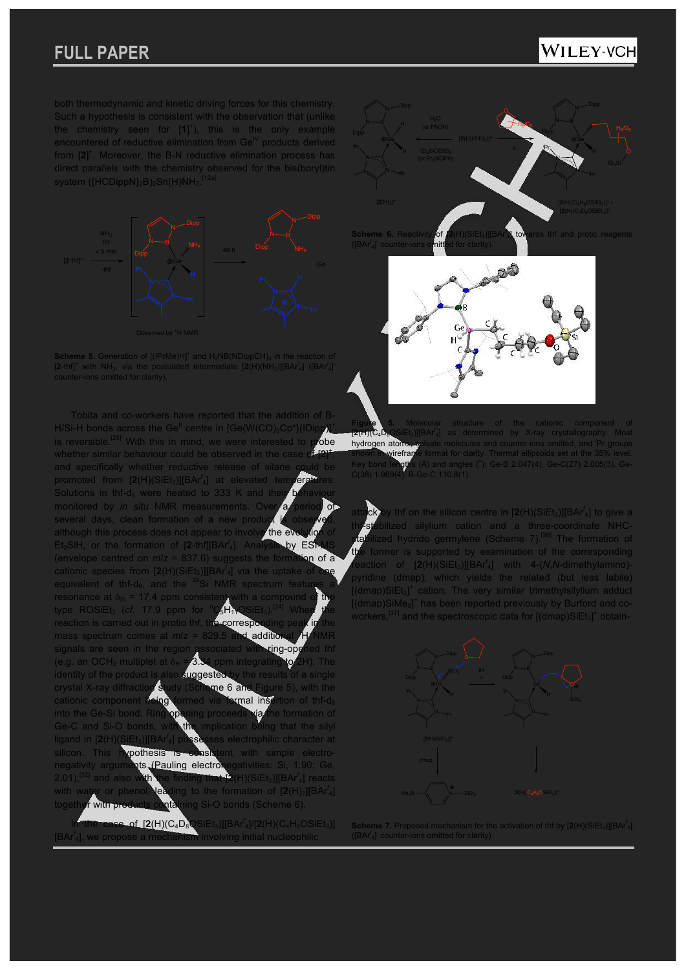### WILEY-VCH

both thermodynamic and kinetic driving forces for this chemistry. Such a hypothesis is consistent with the observation that (unlike the chemistry seen for [**1**] + ), this is the only example encountered of reductive elimination from  $\mathsf{Ge}^{\mathsf{IV}}$  products derived from [2]<sup>+</sup>. Moreover, the B-N reductive elimination process has direct parallels with the chemistry observed for the bis(boryl)tin<br>system (BCDippN) B) So(H)NU [12a] system ({HCDippN}<sub>2</sub>B)<sub>2</sub>Sn(H)NH<sub>2</sub>.



Scheme 5. Generation of  $[(PrMe)H]^*$  and  $H_2NB(NDippCH)_2$  in the reaction of  $[2-th]^*$  with NH<sub>3</sub>, via the postulated intermediate  $[2(H)(NH_2)][BAr'_4]$  ( $[BAr'_4]^*$ 

Tobita and co-workers have reported that the addition of B-H/Si-H bonds across the Ge<sup>II</sup> centre in  $[Ge{W(CO)_3Cp^*}\rangle$ (IDi is reversible.<sup>[25]</sup> With this in mind, we were interested to probe whether similar behaviour could be observed in the case + , and specifically whether reductive release of silane promoted from [2(H)(SiEt<sub>3</sub>)][BAr<sup>f</sup><sub>4</sub>] at elevated temperatures. Solutions in thf-d $_8$  were heated to 333 K and the monitored by *in situ* NMR measurements. Ove several days, clean formation of a new produ although this process does not appear to involve the ev Et3SiH, or the formation of [**2**-thf][BAr*<sup>f</sup>* <sup>4</sup>]. Analysis by ESI-MS (envelope centred on *m*/*z* = 837.6) suggests the formation of a cationic species from  $[2(H)(SiEt_3)][BAr_4]$  via the uptake of one equivalent of thf-d $_8$ , and the <sup>29</sup>Si NMR spectrum feature resonance at  $\delta_{\text{Si}}$  = 17.4 ppm consistent with a compound type ROSiEt<sub>3</sub> (*cf.* 17.9 ppm for <sup>n</sup>C<sub>5</sub>H<sub>11</sub>OSiEt<sub>3</sub>).<sup>[4</sup> reaction is carried out in protio thf, the correspo mass spectrum comes at  $m/z = 829.5$  and additional signals are seen in the region associated with ring-opened that is the region associated with ring-opened the  $2 \text{ rad}$ (e.g. an OCH<sub>2</sub> multiplet at  $\delta_H = 3.34$  ppm integrating to identity of the product is also suggested by the results of a single crystal X-ray diffraction study (Scheme 6 and Figure 5), with the cationic component being formed via formal insertion of thf-d<sub>8</sub><br>into the Ge-Si bond. Ring opening proceeds via the formation of into the Ge-Si bond. Ring opening proceeds Ge-C and Si-O bonds, with the implication being that the silyl ligand in  $[2(H)]$ ses electrophilic character at silicon. This hypothesis is consistent with simple electronegativity arguments, (Pauling electronegativities: Si, 1.90; Ge,  $2.01$ ,  $^{[32]}$  and also and also with the finding that [2(H)(SiEt<sub>3</sub>)][BAr<sup>f</sup><sub>4</sub>] reacts with water or phenol, leading to the formation of  $[2(H)_2][BAr^f]$ together with products containing Si-O bonds (Scheme 6).

In the case of  $[2(H)(C_4D_8\text{QSiEt}_3)][BAr^f_4]/[2(H)(C_4H_8OSiEt_3)]$ [BAr<sup>f</sup><sub>4</sub>], we propo involving initial nucleophilic



**Scheme 6. Reactivity of towards thf and protic reagents** counter-ions omitted for clarity).



**Figure 5.** Molecular structure of the cationic component of Figure<br><del>[2</del>(H)(C<sub>4</sub>D **†∡(F)(C<sub>4</sub>D<sub>8</sub>C**SiEt<sub>3</sub>)][BAr<sup>'</sup>4] as determined by X-ray crystallography. Most<br>**hydrogen atoms, solvate** molecules and counter-ions omitted, and <sup>'</sup>Pr groups shown in wirefrante format for clarity. Thermal ellipsoids set at the 35% level.<br>Key bond lengths (Å) and angles (°): Ge-B 2.047(4), Ge-C(27) 2.005(3), Ge-

attack by thf on the silicon centre in [2(H)(SiEt<sub>3</sub>)][BAr<sup>f</sup><sub>4</sub>] to give a th<sup>r</sup>-stabilized silylium cation and a three-coordinate NHCstabilized hydrido germylene (Scheme 7).<sup>[36]</sup> The formation of former is supported by examination of the corresponding reaction of [**2**(H)(SiEt3)][BAr*<sup>f</sup>* <sup>4</sup>] with 4-(*N*,*N*-dimethylamino) pyridine (dmap), which yields the related (but less labile) [(dmap)SiEt<sub>3</sub>]<sup>+</sup> cation. The very similar trimethylsilylium adduct [(dmap)SiMe<sub>3</sub>]<sup>+</sup> has been reported previously by Burford and coworkers,<sup>[37]</sup> and the spectroscopic data for [(dmap)SiEt<sub>3</sub>]<sup>+</sup> obtain-



**Scheme 7.** Proposed mechanism for the activation of thf by  $[2(H)(SiEt<sub>3</sub>)][BAr<sup>f</sup>_{4}]$ . ([BAr*<sup>f</sup>* 4] - counter-ions omitted for clarity)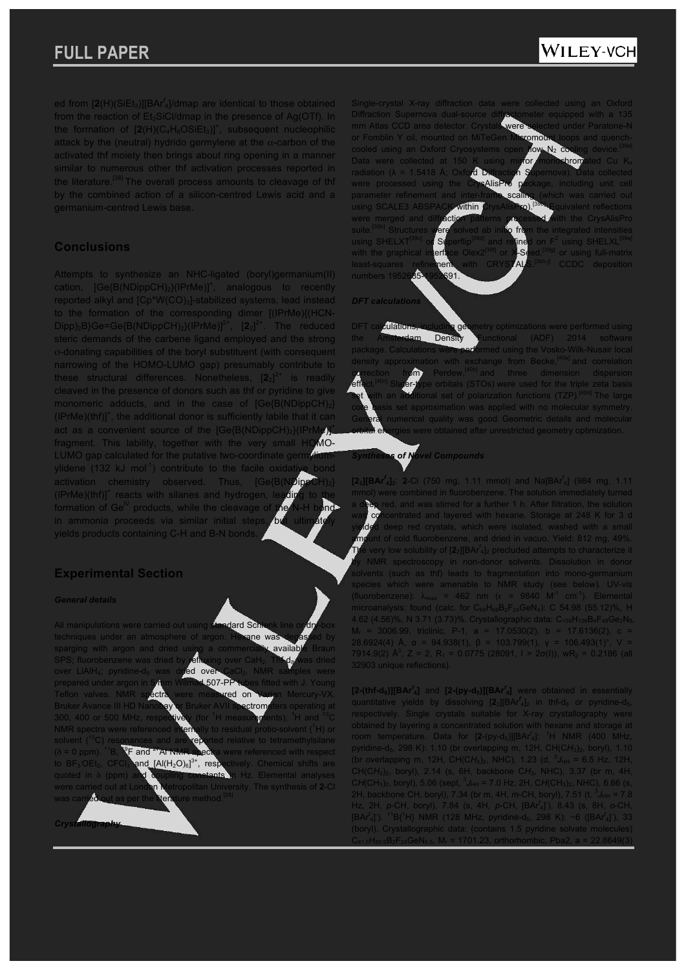## WILEY-VCH

ed from [2(H)(SiEt<sub>3</sub>)][BAr<sup>f</sup><sub>4</sub>]/dmap are identical to those obtained from the reaction of Et<sub>3</sub>SiCl/dmap in the presence of Ag(OTf). In the formation of  $[2(H)(C_4H_8OSiEt_3)]^+$ , subsequent nucleophilic attack by the (neutral) hydrido germylene at the  $\alpha$ -carbon of the activated thf moiety then brings about ring opening in a manner similar to numerous other thf activation processes reported in the literature.<sup>[38]</sup> The overall process amounts to cleavage of thf by the combined action of a silicon-centred Lewis acid and a germanium-centred Lewis base.

### **Conclusions**

Attempts to synthesize an NHC-ligated (boryl)germanium(II) cation,  $[Ge(B(NDippCH)<sub>2</sub>](PrMe)]<sup>+</sup>$ , analogous to recently reported alkyl and [Cp\*W(CO)<sub>3</sub>]-stabilized systems, lead instead to the formation of the corresponding dimer [(IPrMe){(HCN-Dipp)<sub>2</sub>B}Ge=Ge{B(NDippCH)<sub>2</sub>}(IPrMe)]<sup>2+</sup>,  $[2_2]^{2+}$ The reduced steric demands of the carbene ligand employed and the strong σ-donating capabilities of the boryl substituent (with consequent narrowing of the HOMO-LUMO gap) presumably contribute to these structural differences. Nonetheless,  $[2_2]^{2+}$  is readily cleaved in the presence of donors such as thf or pyridine to give monomeric adducts, and in the case of  $[Ge\{B(NDippCH)_2\}]$  $(IPrMe)(thf)]<sup>+</sup>$ , the additional donor is sufficiently labile that it can act as a convenient source of the  $[Ge/B(NDippCH)_2](IPrh)$ fragment. This lability, together with the very small HOMO-LUMO gap calculated for the putative two-coordinate germy ylidene (132 kJ mol<sup>-1</sup>) contribute to the facile oxidat activation chemistry observed. Thus, [Ge{B(NDip (IPrMe)(thf)]<sup>+</sup> reacts with silanes and hydrogen, leading to the formation of  $\text{Ge}^{\mathbb{N}}$  products, while the cleavage of in ammonia proceeds via similar initial steps, but yields products containing C-H and B-N bonds.

### **Experimental Section**

#### *General details*

All manipulations were carried out using standard Sch techniques under an atmosphere of argon. Hexane was degasting the state of an argument and the state of the state by an interesting and the state of the state by an interesting and the state of the state of the state of th sparging with argon and dried using<br>SPS: fluorobenzene was dried by refi SPS; fluorobenzene was dried by **refluxing** over CaH<sub>2</sub>. This d<sub>8</sub> was dried over LiAlH<sub>4</sub>; pyridine-d<sub>5</sub> was dried over CaCl<sub>2</sub>. NMR samples were prepared under argon in 5 mm Wilmad 507-PP tubes fitted with J. Young Teflon valves. NMR spectra were measured on Varian Mercury-VX, Bruker Avance III HD Nanobay or Bruker AVII spectrometers operating at 300, 400 or 500 MHz, respectively (for <sup>1</sup>H measurements); <sup>1</sup>H and <sup>13</sup>C NMR spectra were referenced internally to residual protio-solvent (<sup>1</sup>H) or solvent (<sup>13</sup>C) resonances and are reported relative to tetramethylsilane<br> $\delta$  = 0 npm), <sup>11</sup>B, <sup>12</sup>F and <sup>27</sup>AI NMR spectra were referenced with respect ere referenced with respect to  $BF_3$  OEt<sub>2</sub>, C<br>quoted in  $\delta$  (p and  $[A|(H_2O)_6]^{3+}$ , resp <sup>3+</sup>, respectively. Chemical shifts are quoted in δ (ppm) and coupling constants in Hz. Elemental analyses were carried out at London Metropolitan University. The synthesis of **2**-Cl was carried out as per the literature method.<sup>[28]</sup>

*Crystallography*

Single-crystal X-ray diffraction data were collected using an Oxford<br>Diffraction Supernova dual-source diffractometer equipped with a 135 mm Atlas CCD area detector. Crystals were selected under Paratone-N or Fomblin Y oil, mounted on MiTeGen Micromount loops and quenchcooled using an Oxford Cryosystems open flow N<sub>2</sub> cooling device.<sup>[39a]</sup> Data were collected at 150 K using mirror monochromated Cu K<sub>o</sub> radiation ( $\lambda = 1.5418$  Å; Oxford Diffraction Supernova). Data collected were processed using the CrysAlisPro package, including unit cell were processed using the CrysAlisPro parameter refinement and inter-frame scaling (which was carried out using SCALE3 ABSPACK within CrysAlisPro).<sup>[39b]</sup> Equivalent reflections were merged and diffraction patterns processed with the CrysAlisPro suite.<sup>[36b]</sup> Structures were solved ab initio from the integrated intensities suite.<sup>[36b]</sup> Structures were solved ab intitio from the integrated intensities<br>using SHELXT<sup>[39c]</sup> or Superflip<sup>[39d]</sup> and refined on F<sup>2</sup> using SHELXL<sup>[39e</sup> using SHELXL with the graphical int<mark>erface Olex2<sup>[39f]</sup> or X</mark>-S<mark>eed,<sup>[39g]</sup> or using full-</mark>matrix refinement with CRYSTALS.<sup>[36h-j]</sup> CCDC deposition<br>[35-1952691. numbers 1952685-1952691.

#### *DFT calculations*

culations, including geometry optimizations were performed using the Amsterdam Density Functional (ADF) 2014 software package. Calculations were performed using the Vosko-Wilk-Nusair local density approximation with exchange from Becke,<sup>[40a]</sup> and correlation correction from Perdew,<sup>[40b]</sup> and three dimension dispersion effect.<sup>[40c]</sup> Slater-type orbitals (STOs) were used for the triple zeta basis set with an additional set of polarization functions (TZP).<sup>[40d]</sup> The large core basis set approximation was applied with no molecular symmetry. General numerical quality was good. Geometric details and molecular were obtained after unrestricted geometry optimization.

### *Syntheses of Novel Compounds*

**[22][BAr***<sup>f</sup>* **4]2**: **2**-Cl (750 mg, 1.11 mmol) and Na[BAr*<sup>f</sup>* <sup>4</sup>] (984 mg, 1.11 mmol) were combined in fluorobenzene. The solution immediately turned a deep red, and was stirred for a further 1 h. After filtration, the solution was concentrated and layered with hexane. Storage at 248 K for 3 d leep red crystals, which were isolated, washed with a small amount of cold fluorobenzene, and dried in vacuo. Yield: 812 mg, 49%. The very low solubility of [**2**2][BAr*<sup>f</sup>* <sup>4</sup>]<sup>2</sup> precluded attempts to characterize it by NMR spectroscopy in non-donor solvents. Dissolution in donor solvents (such as thf) leads to fragmentation into mono-germanium species which were amenable to NMR study (see below). UV-vis (fluorobenzene):  $\lambda_{\text{max}}$  = 462 nm ( $\epsilon$  = 9840 M<sup>-1</sup> cm<sup>-1</sup>). Elemental microanalysis: found (calc. for  $C_{69}H_{68}B_2F_{24}GeV_4$ ): C 54.98 (55.12)%, H 4.62 (4.56)%, N 3.71 (3.73)%. Crystallographic data:  $C_{138}H_{136}B_4F_{48}Ge_2N_8$ ,  $M_r$  = 3006.99, triclinic, P-1, a = 17.0530(2), b = 17.6136(2), c 28.6924(4) Å, α = 94.938(1), β = 103.799(1), γ = 106.493(1)°, V = 7914.9(2)  $\mathbb{A}^3$ , Z = 2, R<sub>1</sub> = 0.0775 (28091, I > 2 $\sigma$ (I)), wR<sub>2</sub> = 0.2186 (all 32903 unique reflections).

**[2-(thf-d8)][BAr***<sup>f</sup>* **<sup>4</sup>]** and **[2-(py-d5)][BAr***<sup>f</sup>* **<sup>4</sup>]** were obtained in essentially quantitative yields by dissolving  $[2_2][BA<sup>f</sup>_{4}]_2$  in thf-d<sub>8</sub> or pyridine-d<sub>5</sub>, respectively. Single crystals suitable for X-ray crystallography were obtained by layering a concentrated solution with hexane and storage at room temperature. Data for [2-(py-d<sub>5</sub>)][BAr<sup>f</sup><sub>4</sub>]: <sup>1</sup>H NMR (400 MHz, pyridine-d5, 298 K): 1.10 (br overlapping m, 12H, CH(C*H*3)2, boryl), 1.10 (br overlapping m, 12H, CH(CH<sub>3</sub>)<sub>2</sub>, NHC), 1.23 (d,  ${}^{3}J_{HH}$  = 6.5 Hz, 12H, CH(C*H*3)2, boryl), 2.14 (s, 6H, backbone C*H*3, NHC), 3.37 (br m, 4H,  $CH(CH<sub>3</sub>)<sub>2</sub>$ , boryl), 5.06 (sept,  ${}^{3}J_{HH}$  = 7.0 Hz, 2H, CH(CH<sub>3</sub>)<sub>2</sub>, NHC), 6.66 (s, 2H, backbone CH, boryl), 7.34 (br m, 4H, *m*-CH, boryl), 7.51 (t,  ${}^{3}J_{HH}$  = 7.8 Hz, 2H, *p*-CH, boryl), 7.84 (s, 4H, *p*-CH, [BAr*<sup>f</sup>* 4] - ), 8.43 (s, 8H, *o*-CH, [BAr<sup>f</sup><sub>4</sub>]<sup>'</sup>). <sup>11</sup>B{<sup>1</sup>H} NMR (128 MHz, pyridine-d<sub>5</sub>, 298 K): −6 ([BAr<sup>f</sup><sub>4</sub>]<sup>'</sup>), 33 (boryl). Crystallographic data: (contains 1.5 pyridine solvate molecules)  $C_{81.5}H_{80.5}B_2F_{24}GeN_{6.5}$ , M<sub>r</sub> = 1701.23, orthorhombic, Pba2, a = 22.8649(3)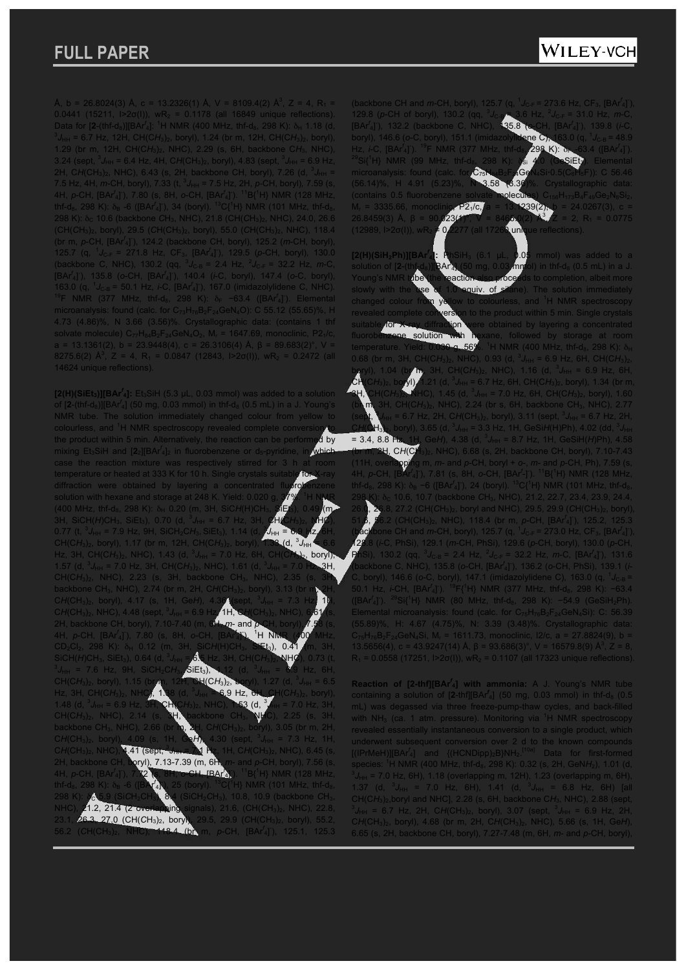WILEY-VCH

Å, b = 26.8024(3) Å, c = 13.2326(1) Å, V = 8109.4(2) Å<sup>3</sup>, Z = 4, R<sub>1</sub> = 0.0441 (15211,  $|2\sigma(1)|$ , wR<sub>2</sub> = 0.1178 (all 16849 unique reflections). Data for  $[2-(\text{thf-d}_8)][BAr_4]^2$ : <sup>1</sup>H NMR (400 MHz, thf-d<sub>8</sub>, 298 K):  $\delta_H$  1.18 (d, *J*HH = 6.7 Hz, 12H, CH(C*H*3)2, boryl), 1.24 (br m, 12H, CH(C*H*3)2, boryl), 1.29 (br m, 12H, CH(C*H*3)2, NHC), 2.29 (s, 6H, backbone C*H*3, NHC), 3.24 (sept,  ${}^{3}J_{HH}$  = 6.4 Hz, 4H, CH(CH<sub>3</sub>)<sub>2</sub>, boryl), 4.83 (sept,  ${}^{3}J_{HH}$  = 6.9 Hz, 2H, CH(CH<sub>3</sub>)<sub>2</sub>, NHC), 6.43 (s, 2H, backbone CH, boryl), 7.26 (d, <sup>3</sup>J<sub>HH</sub> = 7.5 Hz, 4H, *m*-CH, boryl), 7.33 (t,  ${}^{3}J_{HH}$  = 7.5 Hz, 2H, *p*-CH, boryl), 7.59 (s, 4H, *p*-CH, [BAr*<sup>f</sup>* 4] - ), 7.80 (s, 8H, *o*-CH, [BAr*<sup>f</sup>* 4] - ). <sup>11</sup>B{<sup>1</sup>H} NMR (128 MHz, thf-d<sub>8</sub>, 298 K):  $\delta_B$  -6 ([BAr<sup>f</sup><sub>4</sub>]<sup>-</sup>), 34 (boryl). <sup>13</sup>C{<sup>1</sup>H} NMR (101 MHz, thf-d<sub>8</sub>, 298 K): δ<sub>C</sub> 10.6 (backbone CH<sub>3</sub>, NHC), 21.8 (CH(CH<sub>3</sub>)<sub>2</sub>, NHC), 24.0, 26.6 (CH(*C*H3)2, boryl), 29.5 (*C*H(CH3)2, boryl), 55.0 (*C*H(CH3)2, NHC), 118.4 (br m, *p*-CH, [BAr*<sup>f</sup>* 4] - ), 124.2 (backbone CH, boryl), 125.2 (*m*-CH, boryl), 125.7 (q,  ${}^{1}J_{C-F}$  = 271.8 Hz, CF<sub>3</sub>, [BAr<sup>f</sup><sub>4</sub>]), 129.5 (p-CH, boryl), 130.0 (backbone C, NHC), 130.2 (qq,  ${}^{3}J_{C-B} = 2.4$  Hz,  ${}^{2}J_{C-F} = 32.2$  Hz, *m*-C, [BAr*<sup>f</sup>* 4] - ), 135.8 (*o*-CH, [BAr*<sup>f</sup>* 4] - ), 140.4 (*i*-C, boryl), 147.4 (*o*-C, boryl), 163.0 (q, <sup>1</sup> *J*C-B = 50.1 Hz, *i*-C, [BAr*<sup>f</sup>* 4] - ), 167.0 (imidazolylidene C, NHC). <sup>19</sup>F NMR (377 MHz, thf-d<sub>8</sub>, 298 K): δ<sub>F</sub> −63.4 ([BAr<sup>f</sup><sub>4</sub>]). Elemental microanalysis: found (calc. for  $C_{73}H_{76}B_2F_{24}GeN_4O$ ): C 55.12 (55.65)%, H 4.73 (4.86)%, N 3.66 (3.56)%. Crystallographic data: (contains 1 thf solvate molecule)  $C_{77}H_{84}B_2F_{24}GeN_4O_2$ , M<sub>r</sub> = 1647.69, monoclinic, P2<sub>1</sub>/c, a = 13.1361(2), b = 23.9448(4), c = 26.3106(4) Å, β = 89.683(2)°, V = 8275.6(2)  $\mathbb{A}^3$ , Z = 4, R<sub>1</sub> = 0.0847 (12843, I>2 $\sigma$ (I)), wR<sub>2</sub> = 0.2472 (all 14624 unique reflections).

 $[2(H)(SiEt<sub>3</sub>)][BAr<sup>f<sub>4</sub></sup>]$ : Et<sub>3</sub>SiH (5.3  $\mu$ L, 0.03 mmol) was added to a solution of [2-(thf-d<sub>8</sub>)][BAr<sup>f</sup><sub>4</sub>] (50 mg, 0.03 mmol) in thf-d<sub>8</sub> (0.5 mL) in a J. Young's NMR tube. The solution immediately changed colour from yellow colourless, and <sup>1</sup>H NMR spectroscopy revealed complete conversion to the product within 5 min. Alternatively, the reaction can be performed by mixing Et<sub>3</sub>SiH and [2<sub>2</sub>][BAr<sup>f</sup><sub>4</sub>]<sub>2</sub> in fluorobenzene or d<sub>5</sub>-pyridine, in which case the reaction mixture was respectively stirred for temperature or heated at 333 K for 10 h. Single crystals suit diffraction were obtained by layering a concentrated fluorobenzene solution with hexane and storage at 248 K. Yield:  $0.020$  g,  $37\%$ . <sup>1</sup>H NMR (400 MHz, thf-d<sub>8</sub>, 298 K): δ<sub>H</sub> 0.20 (m, 3H, SiCH(H)CH<sub>3</sub>, SiEt<sub>3</sub>), 0.49 (m, 3H, SiCH(*H*)CH<sub>3</sub>, SiEt<sub>3</sub>), 0.70 (d, <sup>3</sup>J<sub>HH</sub> = 6.7 Hz, 3H, CH(CH<sub>3</sub>)<sub>2</sub>, NHC), 0.77 (t,  ${}^{3}J_{HH}$  = 7.9 Hz, 9H, SiCH<sub>2</sub>CH<sub>3</sub>, SiEt<sub>3</sub>), 1.14 (d, 3  $J_{\text{HH}}$  = CH(C*H*3)2, boryl), 1.17 (br m, 12H, CH(C*H*3)2, boryl), 1.33 (d, <sup>3</sup>  $J$ d,  $^3J_{\text{HH}}$ Hz, 3H, CH(CH<sub>3</sub>)<sub>2</sub>, NHC), 1.43 (d, <sup>3</sup>J<sub>HH</sub> = 7.0 Hz, 6H, CH(CH<sub>3</sub>)<sub>2</sub>, boryl), 1.57 (d,  ${}^{3}J_{HH}$  = 7.0 Hz, 3H, CH(CH<sub>3</sub>)<sub>2</sub>, NHC), 1.61 (d, <sup>3</sup> 3H, CH(CH<sub>3</sub>)<sub>2</sub>, NHC), 2.23 (s, 3H, backbone CH<sub>3</sub>, NHC) backbone CH<sub>3</sub>, NHC), 2.74 (br m, 2H, CH(CH<sub>3</sub>)<sub>2</sub>, boryl), 3.13 (br m, 2H, CH(CH<sub>3</sub>)<sub>2</sub>, boryl), 4.17 (s, 1H, GeH), 4.36 (sept, <sup>3</sup>J<sub>HH</sub> = 7.3 Hz<sup>1</sup> 1H, CH(CH<sub>3</sub>)<sub>2</sub>, NHC), 4.48 (sept, <sup>3</sup>J<sub>HH</sub> = 6.9 Hz, **1H, GH**(CH<sub>3</sub>)<sub>2</sub>, NHC), 6.61 (s, 2H, backbone CH, boryl), 7.10-7.40 (m, 6H, *m*- and *p* 4H, *p*-CH, [BAr*<sup>f</sup>* 4] - ), 7.80 (s, 8H, *o*-CH, [BAr*<sup>f</sup>* ী -  $^1$ H NM CD2Cl2, 298 K): δ<sup>H</sup> 0.12 (m, 3H, SiC*H*(H)CH3, SiEt3), 0.41 (m, 3H,  $Sich(H)CH_3$ , SiEt<sub>3</sub>), 0.64 (d, <sup>3</sup><br><sup>3</sup>  $I = 7.6$  Hz, 0H, SiCH C *J*HH = 6.5 Hz, 3H, CH(C*H*3)2, NHC), 0.73 (t, 7.6 Hz, 9H, SiCH<sub>2</sub>CH<sub>3</sub>, <mark>SiEt<sub>3</sub>), 1.12</mark><br>12 Doly[), 1.15 (dr.m. 12**H, CH(CH<sub>3</sub>)2,** *J*<sub>HH</sub> = **6**.9 Hz, 6H, CH(CH<sub>3</sub>)<sub>2</sub>, boryl), 1.15 Hz, 3H, CH(CH<sub>3</sub>) *J*HH = 6.9 Hz, 6H, CH(C*H*3)2, boryl), 1.48 (d,  $3$  $J_{\text{HH}}$  = 6.9 Hz,  $3H$ , CH(CH<sub>3</sub>)<sub>2</sub>, NHC), 1.53 (d, <sup>3</sup> *J*HH = 7.0 Hz, 3H, CH(CH<sub>3</sub>)<sub>2</sub>, NHC), 2.14 (s, 3H, backbone CH<sub>3</sub>, NHC), 2.25 (s, 3H, backbone CH3, NHC), 2.66 (br m, 2H, C*H*(CH3)2, boryl), 3.05 (br m, 2H,  $CH(CH<sub>3</sub>)<sub>2</sub>$ , bor 7.3 Hz, 4.41 (sept, 3 *J*HH = 7.1 Hz, 1H, C*H*(CH3)2, NHC), 6.45 (s, ryl), 7.13-7.39 (m, 6H 4H, *p*-CH, [BAr*<sup>f</sup>* ), 7.72 (s, 8H, *o*-CH, [BAr*<sup>f</sup>* 4] -  $18(1H)$  NMR (128 MHz) thf-d<sub>8</sub>, 298 K): δ<sub>B</sub> -6 ([BAr<sup>f</sup> 4]  $H$ } NMR (101 MHz, thf-d $_8$ , 298 K):  $\frac{1}{2}$ C<sub>5</sub>.9 (SiCH<sub>2</sub>CH<sub>3</sub>), 8.4 (SiCH<sub>2</sub>CH<sub>3</sub>), 10.8, 10.9 (backbone CH<sub>3</sub>, NHC), **21.2, 21.4 (2 overlapping** signals), 21.6, (CH(CH<sub>3</sub>)<sub>2</sub>, NHC), 22.8, 23.1, 26.3, 27.0 (CH(*C*H3)2, boryl), 29.5, 29.9 (*C*H(CH3)2, boryl), 55.2, 56.2 (CH(CH<sub>3</sub>)<sub>2</sub>, NHC), 18.4 (br m, p-CH, [BAr<sup>f</sup><sub>4</sub>]), 125.1, 125.3

(backbone CH and *m-*CH, boryl), 125.7 (q, <sup>1</sup> *J*<sub>C-F</sub> = 273.6 Hz, CF<sub>3</sub>, [BAr<sup>f</sup><sub>4</sub>]<sup>-</sup>), <sup>1</sup>29.8 (*p*-CH of boryl), 130.2 *J*C-B = 3.6 Hz, <sup>2</sup> *J*<sub>2</sub> H<sub>z</sub> [BAr*<sup>f</sup>* 4] - ), 132.2 (backbone C, NHC), 135.8 (*o*-CH, [BAr*<sup>f</sup>* 4] - ), 139.8 (*i*-C, boryl), 146.6 (*o*-C, boryl), 151.1 (imidazolylidene C), 163.0 (q, <sup>1</sup>  $J_{C-B} = 48.9$ Hz, *i*-C, [BAr<sup>f</sup><sub>4</sub>]<sup>-19</sup>F NMR (377 MHz, thf-d<sub>8</sub>, 298 K): δ<sub>F -</sub>63.4 ([BAr  $^{29}$ Si{<sup>1</sup>H} NMR (99 MHz, thf-d<sub>8</sub>, 298 K):  $\delta$ <sub>Si</sub> 4.0 (GeSiEt<sub>3</sub>). Elemental <sup>29</sup>Si{<sup>1</sup>H} NMR (99 MHz, thf-d<sub>s</sub>, 298 K); *is* 4.0 (GeSiEt). Elemental<br>microanalysis: found (calc. for C<sub>75</sub>H<sub>81</sub>B<sub>2</sub>F 4GeN.Si+0.5(C<sub>6</sub>H<sub>5</sub>F)): C 56.46 (56.14)%, H 4.91 (5.23)%, N 3.58 (3.36)%. Crystallographic data: (contains 0.5 fluorobenzene solvate molecu  $M_r = 3335.66$ , monoclinic,  $P2_1/c$ , a = 13.1239(2), b = 24.0267(3), c = 26.8459(3) Å, β = 90.023(4)<sup>°</sup>,  $V = 8465.0(2)$ <sup>-γ</sup> 3 0267(3),  $c =$ <br>B<sub>1</sub> = 0.0775 (12989, I>2σ(I)), wR<sub>2</sub>  $\neq$  0.2277 (all 17260 unique reflections).

**[2(H)(SiH2Ph)][BAr***<sup>f</sup>* **1.05** mmol) was added to a  $\overline{\mathsf{m}}$  mg $\overline{\mathsf{b}}$  of the H-d $_8$  (0.5 mL) in a J. Young's NMR tube (the reaction also proceeds to completion, albeit more slowly with the use of 1.0 equiv. of silane). The solution immediately changed colour from yellow to colourless, and <sup>1</sup>H NMR spectroscopy the product within 5 min. Single crystals suitable for X-ray diffraction were obtained by layering a concentrated fluorobenzene solution with hexane, followed by storage at room temperature. Yield: 0.030 g, 56%. <sup>1</sup>H NMR (400 MHz, thf-d<sub>8</sub>, 298 K): δ<sub>H</sub> 0.68 (br m, 3H, CH(CH<sub>3</sub>)<sub>2</sub>, NHC), 0.93 (d,  ${}^{3}J_{HH}$  = 6.9 Hz, 6H, CH(CH<sub>3</sub>)<sub>2</sub>, boryl), 1.04 (br m, 3H, CH(CH<sub>3</sub>)<sub>2</sub>, NHC), 1.16 (d, <sup>3</sup>J<sub>HH</sub> = 6.9 Hz, 6H,  $CH(CH_3)_2$ , boryl), 1.21 (d, <sup>3</sup>J<sub>HH</sub> = 6.7 Hz, 6H, CH(C $H_3)_2$ , boryl), 1.34 (br m, **SH, CH(CH<sub>3</sub>)<sub>2</sub>, NHC)**, 1.45 (d, <sup>3</sup>J<sub>HH</sub> = 7.0 Hz, 6H, CH(CH<sub>3</sub>)<sub>2</sub>, boryl), 1.60  $(\frac{1}{3})_2$ , NHC), 2.24 (br s, 6H, backbone CH<sub>3</sub>, NHC), 2.77  $(s$ ept,  $\overline{\phantom{a}}$ *J*<sub>HH</sub> = 6.7 Hz, 2H, C*H*(CH<sub>3</sub>)<sub>2</sub>, boryl), 3.11 (sept, <sup>3</sup>J<sub>HH</sub> = 6.7 Hz, 2H, CH(CH<sub>3)2</sub>, boryl), 3.65 (d, <sup>3</sup>J<sub>HH</sub> = 3.3 Hz, 1H, GeSiH(H)Ph), 4.02 (dd, <sup>3</sup>J<sub>HH</sub>  $= 3.4, 8.8$  Hz, 1H, GeH), 4.38 (d,  $^{3}J_{HH} = 8.7$  Hz, 1H, GeSiH(*H*)Ph), 4.58 (br m, 2H, C*H*(CH3)2, NHC), 6.68 (s, 2H, backbone CH, boryl), 7.10-7.43 (11H, overlapping m, *m*- and *p*-CH, boryl + *o*-, *m*- and *p*-CH, Ph), 7.59 (s, 4H, *p*-CH, [BAr*<sup>f</sup>* 4] - ), 7.81 (s, 8H, *o*-CH, [BAr*<sup>f</sup>* -]- ). <sup>11</sup>B{<sup>1</sup>H} NMR (128 MHz, thf-d<sub>8</sub>, 298 K):  $\delta_B$  −6 ([BAr<sup>f</sup><sub>4</sub>]'), 24 (boryl). <sup>13</sup>C{<sup>1</sup>H} NMR (101 MHz, thf-d<sub>8</sub>, 298 K): δ<sub>C</sub> 10.6, 10.7 (backbone CH<sub>3</sub>, NHC), 21.2, 22.7, 23.4, 23.9, 24.4, 26.0, 26.8, 27.2 (CH(CH<sub>3</sub>)<sub>2</sub>, boryl and NHC), 29.5, 29.9 (CH(CH<sub>3</sub>)<sub>2</sub>, boryl), 51.6, 56.2 (*C*H(CH3)2, NHC), 118.4 (br m, *p*-CH, [BAr*<sup>f</sup>* 4] - ), 125.2, 125.3 (backbone CH and *m*-CH, boryl), 125.7 (q, <sup>1</sup>J<sub>C-F</sub> = 273.0 Hz, CF<sub>3</sub>, [BAr<sup>f</sup><sub>4</sub>]), 128.8 (*i*-C, PhSi), 129.1 (*m*-CH, PhSi), 129.6 (*p*-CH, boryl), 130.0 (*p*-CH,  $\overline{130.2}$  (gq,  $J_{C-B}$  = 2.4 Hz,  $^{2}J_{C-F}$  = 32.2 Hz, *m*-C, [BAr<sup>f</sup><sub>4</sub>]<sup>-</sup>), 131.6 (backbone C, NHC), 135.8 (*o*-CH, [BAr*<sup>f</sup>* 4] - ), 136.2 (*o*-CH, PhSi), 139.1 (*i*-C, boryl), 146.6 (o-C, boryl), 147.1 (imidazolylidene C), 163.0 (q, <sup>1</sup>J<sub>C-B</sub> = 50.1 Hz, *i*-CH, [BAr*<sup>f</sup>* 4] - ). <sup>19</sup>F{<sup>1</sup>H} NMR (377 MHz, thf-d8, 298 K): −63.4 ([BAr<sup>f</sup><sub>4</sub>]<sup>-</sup>). <sup>29</sup>Si{<sup>1</sup>H} NMR (80 MHz, thf-d<sub>8</sub>, 298 K): −54.9 (GeSiH<sub>2</sub>Ph). Elemental microanalysis: found (calc. for  $C_{75}H_{76}B_2F_{24}GeN_4Si$ ): C: 56.39 (55.89)%, H: 4.67 (4.75)%, N: 3.39 (3.48)%. Crystallographic data:  $C_{75}H_{76}B_2F_{24}GeN_4Si$ , M<sub>r</sub> = 1611.73, monoclinic, I2/c, a = 27.8824(9), b = 13.5656(4), c = 43.9247(14) Å,  $\beta$  = 93.686(3)°, V = 16579.8(9) Å<sup>3</sup>, Z = 8,  $R_1$  = 0.0558 (17251, I>2 $\sigma$ (I)), w $R_2$  = 0.1107 (all 17323 unique reflections).

**Reaction of [2-thf][BAr***<sup>f</sup>* **<sup>4</sup>] with ammonia:** A J. Young's NMR tube containing a solution of  $[2-th][BA<sup>f</sup><sub>4</sub>]$  (50 mg, 0.03 mmol) in thf-d<sub>8</sub> (0.5 mL) was degassed via three freeze-pump-thaw cycles, and back-filled with  $NH<sub>3</sub>$  (ca. 1 atm. pressure). Monitoring via  ${}^{1}H$  NMR spectroscopy revealed essentially instantaneous conversion to a single product, which underwent subsequent conversion over 2 d to the known compounds [(IPrMeH)][BAr<sup>f</sup><sub>4</sub>] and {(HCNDipp)<sub>2</sub>B}NH<sub>2</sub>.<sup>[10a]</sup> Data for first-formed species: <sup>1</sup>H NMR (400 MHz, thf-d<sub>8</sub>, 298 K): 0.32 (s, 2H, GeNH<sub>2</sub>), 1.01 (d,  $\frac{3}{4}$ ,  $\frac{1}{2}$ , 7.0 H<sub>z</sub>, 6H<sub>3</sub>, 4.48 (overleasing m, 42H), 4.33 (overleasing m, 6H) 'J<sub>HH</sub> = 7.0 Hz, 6H), 1.18 (overlapping m, 12H), 1.23 (overlapping m, 6H), 1.37 (d,  ${}^{3}J_{\text{HH}}$  = 7.0 Hz, 6H), 1.41 (d,  ${}^{3}J_{\text{HH}}$  = 6.8 Hz, 6H) [all CH(C*H*3)2,boryl and NHC], 2.28 (s, 6H, backbone C*H*3, NHC), 2.88 (sept,  ${}^{3}J_{HH}$  = 6.7 Hz, 2H, CH(CH<sub>3</sub>)<sub>2</sub>, boryl), 3.07 (sept,  ${}^{3}J_{HH}$  = 6.9 Hz, 2H, C*H*(CH3)2, boryl), 4.68 (br m, 2H, C*H*(CH3)2, NHC), 5.66 (s, 1H, Ge*H*), 6.65 (s, 2H, backbone CH, boryl), 7.27-7.48 (m, 6H, *m*- and *p*-CH, boryl),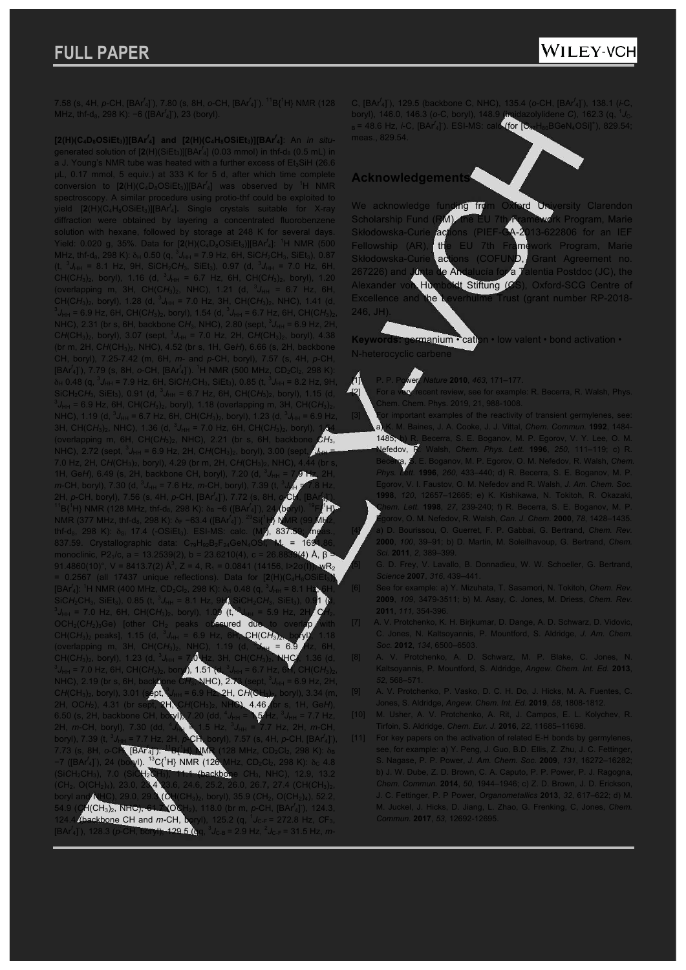7.58 (s, 4H, *p*-CH, [BAr*<sup>f</sup>* 4] - ), 7.80 (s, 8H, *o*-CH, [BAr*<sup>f</sup>* 4] - ). <sup>11</sup>B{<sup>1</sup>H} NMR (128 MHz, thf-d<sub>8</sub>, 298 K): −6 ([BAr<sup>f</sup><sub>4</sub>]<sup>-</sup>), 23 (boryl).

**[2(H)(C4D8OSiEt3)][BAr***<sup>f</sup>* **4] and [2(H)(C4H8OSiEt3)][BAr***<sup>f</sup>* **4]**: An *in situ*generated solution of  $[2(H)(SiEt<sub>3</sub>)][BAT<sup>f</sup><sub>4</sub>]$  (0.03 mmol) in thf-d<sub>8</sub> (0.5 mL) in a J. Young's NMR tube was heated with a further excess of  $Et<sub>3</sub>SiH$  (26.6) µL, 0.17 mmol, 5 equiv.) at 333 K for 5 d, after which time complete conversion to  $[2(H)(C_4D_8OSiEt_3)][BAr^f_4]$  was observed by <sup>1</sup>H NMR spectroscopy. A similar procedure using protio-thf could be exploited to yield [2(H)(C<sub>4</sub>H<sub>8</sub>OSiEt<sub>3</sub>)][BAr<sup>f</sup><sub>4</sub>]. Single crystals suitable for X-ray diffraction were obtained by layering a concentrated fluorobenzene solution with hexane, followed by storage at 248 K for several days. Yield: 0.020 g, 35%. Data for  $[2(H)(C_4D_8OSiEt_3)][BAr^f_4]$ : <sup>1</sup>H NMR (500 MHz, thf-d<sub>8</sub>, 298 K):  $\delta_H$  0.50 (q,  ${}^3J_{HH}$  = 7.9 Hz, 6H, SiCH<sub>2</sub>CH<sub>3</sub>, SiEt<sub>3</sub>), 0.87  $(t, {}^{3}J_{HH} = 8.1$  Hz, 9H, SiCH<sub>2</sub>CH<sub>3</sub>, SiEt<sub>3</sub>), 0.97 (d,  ${}^{3}J_{HH} = 7.0$  Hz, 6H, CH(CH<sub>3</sub>)<sub>2</sub>, boryl), 1.16 (d,  ${}^{3}J_{HH}$  = 6.7 Hz, 6H, CH(CH<sub>3</sub>)<sub>2</sub>, boryl), 1.20 (overlapping m, 3H, CH(CH<sub>3</sub>)<sub>2</sub>, NHC), 1.21 (d,  ${}^{3}J_{HH}$  = 6.7 Hz, 6H, CH(CH<sub>3</sub>)<sub>2</sub>, boryl), 1.28 (d,  ${}^{3}J_{HH}$  = 7.0 Hz, 3H, CH(CH<sub>3</sub>)<sub>2</sub>, NHC), 1.41 (d,  $J_{\text{HH}}$  = 6.9 Hz, 6H, CH(C $H_3$ )<sub>2</sub>, boryl), 1.54 (d, <sup>3</sup> $J_{\text{HH}}$  = 6.7 Hz, 6H, CH(C $H_3$ )<sub>2</sub>, NHC), 2.31 (br s, 6H, backbone CH<sub>3</sub>, NHC), 2.80 (sept,  ${}^{3}J_{HH}$  = 6.9 Hz, 2H, CH(CH<sub>3</sub>)<sub>2</sub>, boryl), 3.07 (sept,  ${}^{3}J_{HH}$  = 7.0 Hz, 2H, CH(CH<sub>3</sub>)<sub>2</sub>, boryl), 4.38 (br m, 2H, C*H*(CH3)2, NHC), 4.52 (br s, 1H, Ge*H*), 6.66 (s, 2H, backbone CH, boryl), 7.25-7.42 (m, 6H, *m*- and *p*-CH, boryl), 7.57 (s, 4H, *p*-CH, [BAr<sup>f</sup><sub>4</sub>]<sup>\*</sup>), 7.79 (s, 8H, o-CH, [BAr<sup>f</sup><sub>4</sub>]<sup>\*</sup>). <sup>1</sup>H NMR (500 MHz, CD<sub>2</sub>Cl<sub>2</sub>, 298 K):  $\delta_H$  0.48 (q,  $^3J_{HH}$  = 7.9 Hz, 6H, SiCH<sub>2</sub>CH<sub>3</sub>, SiEt<sub>3</sub>), 0.85 (t,  $^3J_{HH}$  = 8.2 Hz, 9H, SiCH<sub>2</sub>CH<sub>3</sub>, SiEt<sub>3</sub>), 0.91 (d, <sup>3</sup>J<sub>HH</sub> = 6.7 Hz, 6H, CH(CH<sub>3</sub>)<sub>2</sub>, boryl), 1.15 (d, 3<br><sup>3</sup>J<sub>HH</sub> = 6.9 Hz, 6H, CH(CH<sub>3</sub>)<sub>2</sub>, boryl), 1.18 (overlapping m, 3H, CH(CH<sub>3</sub>)<sub>2</sub>, NHC), 1.19 (d, <sup>3</sup>J<sub>HH</sub> = 6.7 Hz, 6H, CH(CH<sub>3</sub>)<sub>2</sub>, boryl), 1.23 (d, <sup>3</sup>J<sub>HH</sub> = 6.9 Hz, 3H, CH(CH<sub>3</sub>)<sub>2</sub>, NHC), 1.36 (d, <sup>3</sup>J<sub>HH</sub> = 7.0 Hz, 6H, CH(CH<sub>3</sub>)<sub>2</sub>, boryl), 1.54 (overlapping m, 6H, CH(CH<sub>3</sub>)<sub>2</sub>, NHC), 2.21 (br s, 6H, backbone  $CH_3$ , NHC), 2.72 (sept,  ${}^{3}J_{HH}$  = 6.9 Hz, 2H, CH(CH<sub>3</sub>)<sub>2</sub>, boryl), 3.00 (sept<sub>r,</sub><sup>3</sup> *J*HH = 7.0 Hz, 2H, CH(CH<sub>3</sub>)<sub>2</sub>, boryl), 4.29 (br m, 2H, CH(CH<sub>3</sub>)<sub>2</sub>, NHC 1H, Ge*H*), 6.49 (s, 2H, backbone CH, boryl), 7.20 (d, <sup>3</sup> *J*HH = 7.9 Hz, 2H, *m*-CH, boryl), 7.30 (d,  ${}^{3}J_{HH}$  = 7.6 Hz, *m*-CH, boryl), 7.39 (t, <sup>3</sup>) *J*HH = 7.8 Hz, 2H, *p*-CH, boryl), 7.56 (s, 4H, *p*-CH, [BAr*<sup>f</sup>* 4] - ), 7.72 (s, 8H, *o*-CH, [BAr*<sup>f</sup>* .<br>يا <sup>11</sup>B{<sup>1</sup>H} NMR (128 MHz, thf-d<sub>8</sub>, 298 K): δ<sub>B</sub> −6 ([BAr<sup>*i*</sup> ), 24 $\sqrt{\mathsf{b}}\mathsf{d}$ ryl).  $^{19}$ F $\sqrt[4]{\mathsf{HP}}$ NMR (377 MHz, thf-d<sub>8</sub>, 298 K): δ<sub>F</sub> −63.4 ([BAr<sup>f</sup><sub>4</sub>]<sup>-</sup> ).  $^{29}$ Si{<sup>1</sup>H} NMR (99 MHz, thf-d<sub>8</sub>, 298 K):  $\delta_{Si}$  17.4 (-OSiEt<sub>3</sub>). ESI-MS: calc. (M + ), 837.59; meas., 837.59. Crystallographic data: C79H92B2F24GeN4OSi**,** M<sup>r</sup> = 1691.86, monoclinic, P2<sub>1</sub>/c, a = 13.2539(2), b = 23.6210(4), c = 26.8839(4) Å, β = 91.4860(10)°, V = 8413.7(2) Å<sup>3</sup>, Z = 4, R<sub>1</sub> = 0.0841 (14156, I>2 $\sigma$ (I)), wR<sub>2</sub> = 0.2567 (all 17437 unique reflections). Data for [2(H)(C [BAr<sup>f</sup><sub>4</sub>]: <sup>1</sup>H NMR (400 MHz, CD<sub>2</sub>Cl<sub>2</sub>, 298 K): δ<sub>H</sub> 0.48 (q, <sup>3</sup> *J*<sub>HH</sub> = 8.1 H<sub>2</sub>, 6H, SiC*H*<sub>2</sub>CH<sub>3</sub>, SiEt<sub>3</sub>), 0.85 (t, <sup>3</sup>J<sub>HH</sub> = 8.1 **Hz, 9Ht, Si**CH<sub>2</sub>C*H*<sub>3</sub>, SiEt<sub>3</sub>), 0.9<mark>1 (d,</mark> 3J<sub>HH</sub> = 7.0 Hz, 6H, CH(C*H<sub>3)2</sub>,* boryl), 1.0<mark>9 (t, 3J<sub>HH</sub> = 5.9 Hz, 2H, C</mark>H<sub>2</sub>, OCH<sub>2</sub>(CH<sub>2</sub>)<sub>3</sub>Ge) [other CH<sub>2</sub> peaks obscured due CH(CH<sub>3</sub>)<sub>2</sub> peaks], 1.15 (d,  $3$ *<i>C***H(CH<sub>3</sub>)** (overlapping m, 3H, CH(CH<sub>3</sub>)<sub>2</sub>, NHC), 1.19 (d, <sup>3</sup>  $6.9$ CH(CH<sub>3</sub>)<sub>2</sub>, boryl), 1.23 (d, <sup>3</sup><br><sup>3</sup>  $I = 7.0$  Hz 6H, CH(CH) *J*HH = 7.0 Hz, 3H, CH(C*H*3)2, NHC), 1.36 (d, *J*<sub>H</sub> = 7.0 Hz, 6H, CH(CH<sub>3</sub>)<sub>2</sub>, bory**l), 1.51** *J*HH = 6.7 Hz, 6H, CH(C*H*3)2, NHC), 2.19 (br s, 6H, back**bone CH<sub>3</sub>, NHC), 2.**7 *J*HH = 6.9 Hz, 2H, CH(CH<sub>3</sub>)<sub>2</sub>, boryl), 3.01 (sept, **2H, CH(CH3)2, boryl), 3.34 (m,** 2H, OC*H*2), 4.31 (br sept, 2H, C*H*(CH3)2, NHC), 4.46 (br s, 1H, Ge*H*), 6.50 (s, 2H, backbone CH, boryl), 7.20 (dd, <sup>4</sup> *J*HH = 1.5 Hz, <sup>3</sup> *J*HH = 7.7 Hz, 2H, *m*-CH, boryl), **J<sub>HH</sub>**  $\ge$  1.5 Hz, <sup>3</sup> *Hz*, 2H, *m*-CH, boryl), 7.39 (t, *J*<sub>HH</sub> = 7.7 Hz, 2H, *p***-CH<sub>N</sub>**</sub> boryl), 7.57 (s, 4H, *p*-CH, [BAr<sup>*f*</sup><sub>4</sub>]<sup>-</sup>), 7.73 (s, 8H, *o*-CH, [BAr*<sup>f</sup>* 4] - ). <sup>11</sup>B{<sup>1</sup>H} NMR (128 MHz, CD<sub>2</sub>Cl<sub>2</sub>, 298 K): δ<sub>B</sub> −7 ([BAr*<sup>f</sup>* 4] - ), 24 (boryl).  ${}^{13}C_1{}^{1}H$ } NMR (126 MHz, CD<sub>2</sub>Cl<sub>2</sub>, 298 K):  $\delta_c$  4.8 (Si*C*H2CH3), 7.0 (SiCH2*C*H3), 11.1 (backbone *C*H3, NHC), 12.9, 13.2 (*C*H2, O(CH2)4), 23.0, 23.4 23.6, 24.6, 25.2, 26.0, 26.7**,** 27.4 (CH(*C*H3)2, boryl and NHC), 29.0, 29.3 (*C*H(CH3)2, boryl), 35.9 (*C*H2, O(CH2)4), 52.2, 54.9 (*C*H(CH3)2, NHC), 61.7 (O*C*H2), 118.0 (br m, *p*-CH, [BAr*<sup>f</sup>* 4] - ), 124.3, 14**A.4 (backbone CH and** *m***-CH**) *J*C-F = 272.8 Hz, *C*F3, 128.3 (*p*-CH, boryl), 129.5 (q *J*<sub>C-B</sub> = 2.9 Hz, <sup>2</sup>*J*<sub>C-F</sub> = 31.5 Hz, *m*-

C, [BAr*<sup>f</sup>* 4] - ), 129.5 (backbone C, NHC), 135.4 (*o*-CH, [BAr*<sup>f</sup>* 4] - ), 138.1 (*i*-C, boryl), 146.0, 146.3 (*o*-C, boryl), 148.9 (imidazolylidene *C*), 162.3 (q, <sup>1</sup> *J*C-<sub>B</sub> = 48.6 Hz, *i*-C, [BAr<sup>*f*</sup><sub>4</sub>]<sup>-</sup> ). ESI-MS: calc (for  $\left[\mathbf{C}_{47}\text{H}_{80}\text{BGeN}_4\text{OSi}\right]^{\dagger}$ ), 829.54; meas., 829.54.

### **Acknowledgements**

We acknowledge funding from We acknowledge fu**nding from Oxford Uni**versity Clarendon<br>Scholarship Fund (RM), the EU 7th Framework Program, Marie<br>Skłodowska-Curie <mark>actions (PIEF-GA-2013-</mark>622806 for an IEF' Actions (PIEF-GA-2013-622806 for an IEF Fellowship (AR), the EU 7th Framework Program, Marie<br>Skłodowska-Curie actions (COFUND, Grant Agreement no. actions (COFUND, Grant Agreement no. 267226) and J<mark>unta de Andalucía for a T</mark>alentia Postdoc (JC), the Alexander von Humboldt Stiftung (CS), Oxford-SCG Centre of Excellence and the Leverhulme Trust (grant number RP-2018- 246, JH).

**Keywords: germanium • cation • low valent • bond activation •** N-heterocyclic carbene

#### [1] P. P. Power, *Nature* **2010**, *463*, 171–177.

ent review, see for example: R. Becerra, R. Walsh, Phys. hem. Phys. 2019, 21, 988-1008.

- [3] For important examples of the reactivity of transient germylenes, see: a) K. M. Baines, J. A. Cooke, J. J. Vittal, *Chem. Commun.* **1992**, 1484- 1485; b) R. Becerra, S. E. Boganov, M. P. Egorov, V. Y. Lee, O. M.
- Nefedov, R. Walsh, *Chem. Phys. Lett.* **1996**, *250*, 111–119; c) R. E. Boganov, M. P. Egorov, O. M. Nefedov, R. Walsh, *Chem. Phys. Lett.* **1996**, *260*, 433–440; d) R. Becerra, S. E. Boganov, M. P. Egorov, V. I. Faustov, O. M. Nefedov and R. Walsh, *J. Am. Chem. Soc.* **1998**, *120*, 12657–12665; e) K. Kishikawa, N. Tokitoh, R. Okazaki, *Chem. Lett.* **1998**, *27*, 239-240; f) R. Becerra, S. E. Boganov, M. P. Egorov, O. M. Nefedov, R. Walsh, *Can. J. Chem.* **2000**, *78*, 1428–1435. [4] a) D. Bourissou, O. Guerret, F. P. Gabbai, G. Bertrand, *Chem. Rev.* **2000**, *100*, 39–91; b) D. Martin, M. Soleilhavoup, G. Bertrand, *Chem. Sci.* **2011**, *2*, 389–399.

[5] G. D. Frey, V. Lavallo, B. Donnadieu, W. W. Schoeller, G. Bertrand, *Science* **2007**, *316*, 439–441.

- [6] See for example: a) Y. Mizuhata, T. Sasamori, N. Tokitoh, *Chem. Rev.*  **2009**, *109*, 3479-3511; b) M. Asay, C. Jones, M. Driess, *Chem. Rev.*  **2011**, *111,* 354-396.
- [7] A. V. Protchenko, K. H. Birjkumar, D. Dange, A. D. Schwarz, D. Vidovic, C. Jones, N. Kaltsoyannis, P. Mountford, S. Aldridge, *J. Am. Chem. Soc.* **2012**, *134*, 6500–6503.
- [8] A. V. Protchenko, A. D. Schwarz, M. P. Blake, C. Jones, N. Kaltsoyannis, P. Mountford, S. Aldridge, *Angew. Chem. Int. Ed.* **2013**,
- [9] A. V. Protchenko, P. Vasko, D. C. H. Do, J. Hicks, M. A. Fuentes, C. Jones, S. Aldridge, *Angew. Chem. Int. Ed.* **2019**, *58*, 1808-1812.
- [10] M. Usher, A. V. Protchenko, A. Rit, J. Campos, E. L. Kolychev, R. Tirfoin, S. Aldridge, *Chem. Eur. J.* **2016**, *22*, 11685–11698.
- [11] For key papers on the activation of related E-H bonds by germylenes, see, for example: a) Y. Peng, J. Guo, B.D. Ellis, Z. Zhu, J. C. Fettinger, S. Nagase, P. P. Power, *J. Am. Chem. Soc.* **2009**, *131*, 16272–16282; b) J. W. Dube, Z. D. Brown, C. A. Caputo, P. P. Power, P. J. Ragogna, *Chem. Commun.* **2014**, *50*, 1944–1946; c) Z. D. Brown, J. D. Erickson, J. C. Fettinger, P. P Power, *Organometallics* **2013**, *32*, 617–622; d) M. M. Juckel, J. Hicks, D. Jiang, L. Zhao, G. Frenking, C, Jones, *Chem. Commun.* **2017**, *53*, 12692-12695.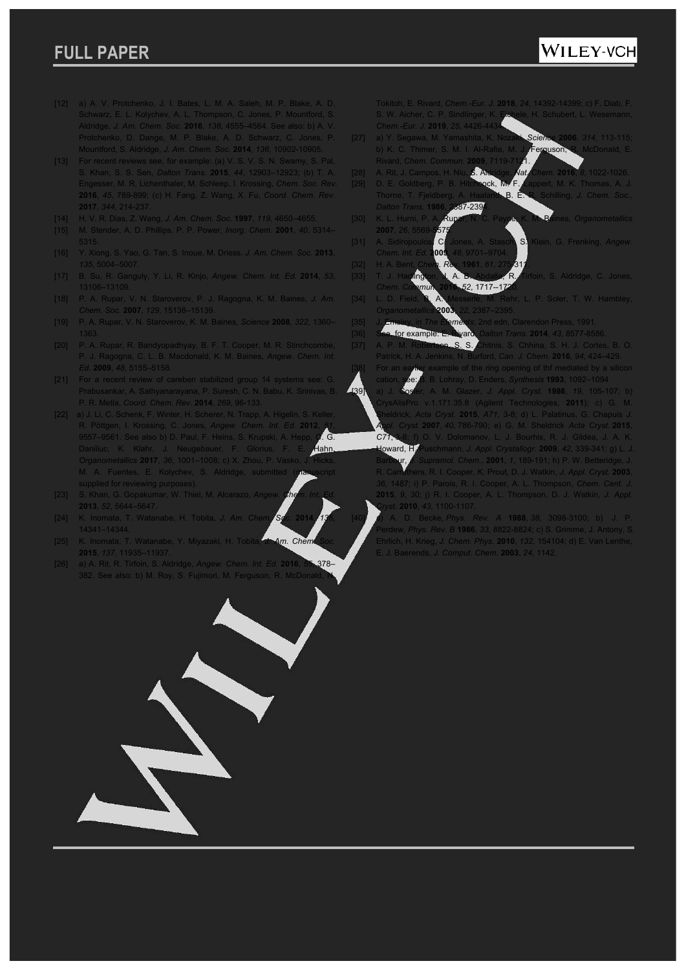## WILEY-VCH

- [12] a) A. V. Protchenko, J. I. Bates, L. M. A. Saleh, M. P. Blake, A. D. Schwarz, E. L. Kolychev, A. L. Thompson, C. Jones, P. Mountford, S. Aldridge, *J. Am. Chem. Soc.* **2016**, *138*, 4555–4564. See also: b) A. V. Protchenko, D. Dange, M. P. Blake, A. D. Schwarz, C. Jones, P. Mountford, S. Aldridge, *J. Am. Chem. Soc.* **2014**, *136*, 10902-10905.
- [13] For recent reviews see, for example: (a) V. S. V. S. N. Swamy, S. Pal, S. Khan, S. S. Sen, *Dalton Trans.* **2015**, *44*, 12903–12923; (b) T. A. Engesser, M. R. Lichenthaler, M. Schleep, I. Krossing, *Chem. Soc. Rev.*  **2016**, *45*, 789-899; (c) H. Fang, Z. Wang, X. Fu, *Coord. Chem. Rev.*  **2017**, *344*, 214-237.
- [14] H. V. R. Dias, Z. Wang, *J. Am. Chem. Soc.* **1997**, *119*, 4650–4655.
- [15] M. Stender, A. D. Phillips, P. P. Power, *Inorg. Chem.* **2001**, *40*, 5314–
- [16] Y. Xiong, S. Yao, G. Tan, S. Inoue, M. Driess, *J. Am. Chem. Soc.* **2013**, *135*, 5004–5007.
- [17] B. Su, R. Ganguly, Y. Li, R. Kinjo, *Angew. Chem. Int. Ed.* **2014**, *53*,
- [18] P. A. Rupar, V. N. Staroverov, P. J. Ragogna, K. M. Baines, *J. Am. Chem. Soc.* **2007**, *129*, 15138–15139.
- [19] P. A. Rupar, V. N. Staroverov, K. M. Baines, *Science* **2008**, *322*, 1360–
- [20] P. A. Rupar, R. Bandyopadhyay, B. F. T. Cooper, M. R. Stinchcombe, P. J. Ragogna, C. L. B. Macdonald, K. M. Baines, *Angew. Chem. Int. Ed.* **2009**, *48*, 5155–5158.
- [21] For a recent review of careben stabilized group 14 systems see: G. Prabusankar, A. Sathyanarayana, P. Suresh, C. N. Babu, K. Srinivas, B. P. R. Metla, *Coord*. *Chem*. *Rev*. **2014**, *269*, 96-133.
- [22] a) J. Li, C. Schenk, F. Winter, H. Scherer, N. Trapp, A. Higelin, S. Keller, R. Pöttgen, I. Krossing, C. Jones, *Angew. Chem. Int. Ed.* **2012**, *51*, 9557–9561. See also b) D. Paul, F. Heins, S. Krupski, A. Hepp, C. G.<br>Daniliuc, K. Klahr, J. Neugebauer, F. Glorius, F. E. Hahn. Daniliuc, K. Klahr, J. Neugebauer, F. Glorius, F. *Organometallics* 2017, 36, 1001–1008; c) X. Zhou, P. Vasko M. A. Fuentes, E. Kolychev, S. Aldridge, submitted (manuscript supplied for reviewing purposes).
- [23] S. Khan, G. Gopakumar, W. Thiel, M. Alcarazo, *Angew. Chem. Int. Ed.* **2013**, *52*, 5644–5647.
- [24] K. Inomata, T. Watanabe, H. Tobita, *J. Am. Chem. Soc.* **2014**, *136*, 14341–14344.
- [25] K. Inomata, T. Watanabe, Y. Miyazaki, H. Tobita, J. Am. Chem **2015**, *137*, 11935–11937.
- [26] a) A. Rit, R. Tirfoin, S. Aldridge, *Angew. Chem. Int. Ed.* **2016**, *55*, 378– 382. See also: b) M. Roy, S. Fujimori, M. Ferguson, R. McDon

Tokitoh, E. Rivard, *Chem.-Eur. J.* **2018**, *24*, 14392-14399; c) F. Diab, F. .<br>B. Schubert, L. Wesemann, *Chem.-Eur. J.* 2019, 25, 4426-4

- [27] a) Y. Segawa, M. Yamashita, K. Nozaki, *Science* **2006**, *314*, 113-115; b) K. C. Thimer, S. M. I. Al-Rafia, M. J. Ferguson, R. McDonald, E. Rivard, *Chem. Commun.* **2009**, 7119-7121.
- [28] A. Rit, J. Campos, H. Niu, S. Aldridge, *Nat. Chem.* **2016**, *8*, 1022-1026. pert, M. K. Thomas, A. J
- B. E. R. Schilling, J. Chem. Soc. *Dalton Trans.* **1986**, 2387-2394. [30] K. L. Hurni, P. A. Rupar, N. C. Payne, K. M. Baines, *Organometallics*
- **2007**, 26, 5569 [31] A. Sidiropoulos, C. Jones, A. Stasch, S. Klein, G. Frenking, *Angew. Chem. Int. Ed.* **2009**, *48*, 9701–9704.
- [32] H. A. Bent, *Chem. Rev.* **1961**, *61*, 275-311. **R. Tirfoin, S. Aldridge, C. Jones** *Chem. Commun.* **2016**, *52*, 1717--1720.
- [34] L. D. Field, B. A. Messerle, M. Rehr, L. P. Soler, T. W. Hambley, *Organometallics* **2003**, *22*, 2387–2395.
- 
- [36] See, for example: E. Rivard, *Dalton Trans.* **2014**, *43*, 8577-8586.
- [37] A. P. M. Robertson, S. S. Chitnis, S. Chhina, S. H. J. Cortes, B. O. Patrick, H. A. Jenkins, N. Burford, *Can. J. Chem.* **2016**, *94*, 424–429. [38] For an earlier example of the ring opening of thf mediated by a silicon

cation, see: B. B. Lohray, D. Enders, *Synthesis* **1993**, 1092–1094 [39] a) J. Cosier, A. M. Glazer, *J. Appl. Cryst.* **1986**, *19*, 105-107; b) CrysAlisPro v.1.171.35.8 (Agilent Technologies, **2011**); c) G. M. Sheldrick, *Acta Cryst*. **2015**, *A71*, 3-8; d) L. Palatinus, G. Chapuis *J. Appl. Cryst.* **2007**, *40*, 786-790; e) G. M. Sheldrick *Acta Cryst.* **2015**, *C71*, 3-8; f) O. V. Dolomanov, L. J. Bourhis, R. J. Gildea, J. A. K. Howard, H. Puschmann, *J. Appl. Crystallogr.* **2009**, *42*, 339-341; g) L. J. Barbour, *J. Supramol. Chem.*, **2001**, *1*, 189-191; h) P. W. Betteridge, J. R. Carruthers, R. I. Cooper, K. Prout, D. J. Watkin, *J. Appl. Cryst.* **2003**, *36*, 1487; i) P. Parois, R. I. Cooper, A. L. Thompson, *Chem. Cent. J.*  **2015**, *9*, 30; j) R. I. Cooper, A. L. Thompson, D. J. Watkin, *J. Appl.* 

*Cryst*. **2010**, *43*, 1100-1107. [40] a) A. D. Becke, *Phys. Rev. A* **1988**, *38*, 3098-3100; b) J. P. Perdew, *Phys. Rev. B* **1986**, *33*, 8822-8824; c) S. Grimme, J. Antony, S. Ehrlich, H. Krieg, *J. Chem. Phys.* **2010**, *132*, 154104; d) E. Van Lenthe, E. J. Baerends, *J. Comput. Chem*. **2003**, *24*, 1142.